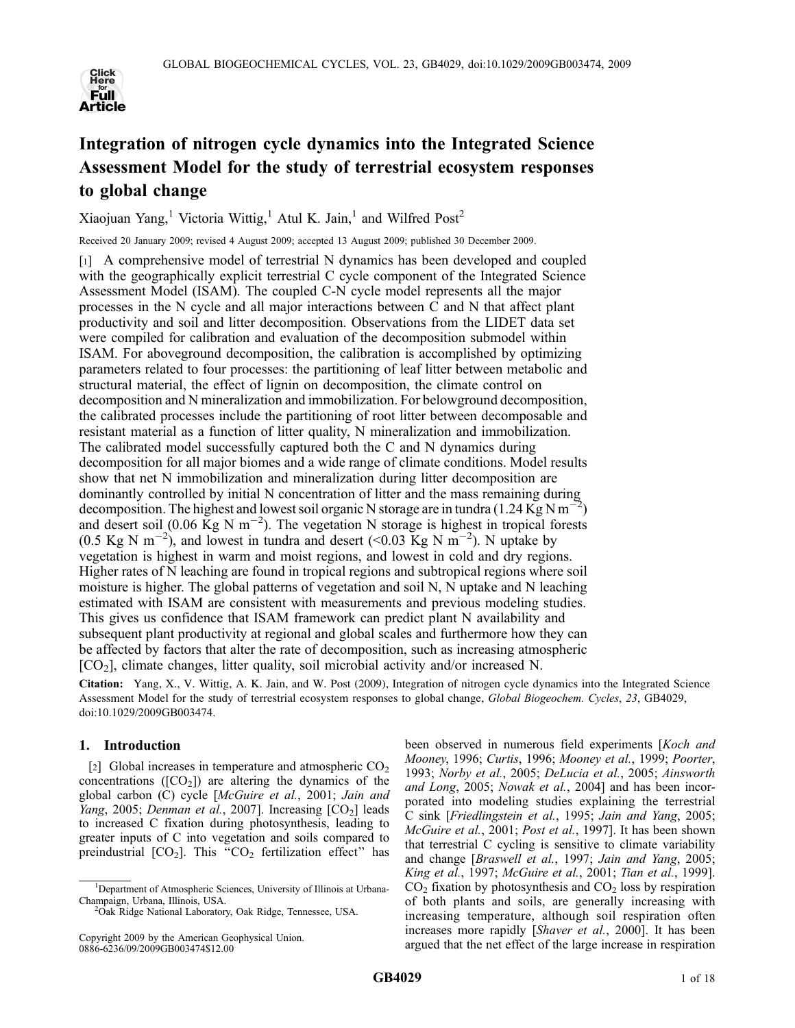

# Integration of nitrogen cycle dynamics into the Integrated Science Assessment Model for the study of terrestrial ecosystem responses to global change

Xiaojuan Yang,<sup>1</sup> Victoria Wittig,<sup>1</sup> Atul K. Jain,<sup>1</sup> and Wilfred Post<sup>2</sup>

Received 20 January 2009; revised 4 August 2009; accepted 13 August 2009; published 30 December 2009.

[1] A comprehensive model of terrestrial N dynamics has been developed and coupled with the geographically explicit terrestrial C cycle component of the Integrated Science Assessment Model (ISAM). The coupled C-N cycle model represents all the major processes in the N cycle and all major interactions between C and N that affect plant productivity and soil and litter decomposition. Observations from the LIDET data set were compiled for calibration and evaluation of the decomposition submodel within ISAM. For aboveground decomposition, the calibration is accomplished by optimizing parameters related to four processes: the partitioning of leaf litter between metabolic and structural material, the effect of lignin on decomposition, the climate control on decomposition and N mineralization and immobilization. For belowground decomposition, the calibrated processes include the partitioning of root litter between decomposable and resistant material as a function of litter quality, N mineralization and immobilization. The calibrated model successfully captured both the C and N dynamics during decomposition for all major biomes and a wide range of climate conditions. Model results show that net N immobilization and mineralization during litter decomposition are dominantly controlled by initial N concentration of litter and the mass remaining during decomposition. The highest and lowest soil organic N storage are in tundra (1.24 Kg N m<sup>-2</sup>) and desert soil (0.06  $\text{Kg N m}^{-2}$ ). The vegetation N storage is highest in tropical forests  $(0.5 \text{ Kg N m}^{-2})$ , and lowest in tundra and desert  $(<0.03 \text{ Kg N m}^{-2})$ . N uptake by vegetation is highest in warm and moist regions, and lowest in cold and dry regions. Higher rates of N leaching are found in tropical regions and subtropical regions where soil moisture is higher. The global patterns of vegetation and soil N, N uptake and N leaching estimated with ISAM are consistent with measurements and previous modeling studies. This gives us confidence that ISAM framework can predict plant N availability and subsequent plant productivity at regional and global scales and furthermore how they can be affected by factors that alter the rate of decomposition, such as increasing atmospheric  $[CO<sub>2</sub>]$ , climate changes, litter quality, soil microbial activity and/or increased N.

Citation: Yang, X., V. Wittig, A. K. Jain, and W. Post (2009), Integration of nitrogen cycle dynamics into the Integrated Science Assessment Model for the study of terrestrial ecosystem responses to global change, Global Biogeochem. Cycles, 23, GB4029, doi:10.1029/2009GB003474.

# 1. Introduction

[2] Global increases in temperature and atmospheric  $CO<sub>2</sub>$ concentrations ( $[CO<sub>2</sub>]$ ) are altering the dynamics of the global carbon (C) cycle [McGuire et al., 2001; Jain and Yang, 2005; Denman et al., 2007]. Increasing  $[CO<sub>2</sub>]$  leads to increased C fixation during photosynthesis, leading to greater inputs of C into vegetation and soils compared to preindustrial  $[CO_2]$ . This "CO<sub>2</sub> fertilization effect" has

been observed in numerous field experiments [Koch and Mooney, 1996; Curtis, 1996; Mooney et al., 1999; Poorter, 1993; Norby et al., 2005; DeLucia et al., 2005; Ainsworth and Long, 2005; Nowak et al., 2004] and has been incorporated into modeling studies explaining the terrestrial C sink [Friedlingstein et al., 1995; Jain and Yang, 2005; McGuire et al., 2001; Post et al., 1997]. It has been shown that terrestrial C cycling is sensitive to climate variability and change [Braswell et al., 1997; Jain and Yang, 2005; King et al., 1997; McGuire et al., 2001; Tian et al., 1999].  $CO<sub>2</sub>$  fixation by photosynthesis and  $CO<sub>2</sub>$  loss by respiration of both plants and soils, are generally increasing with increasing temperature, although soil respiration often increases more rapidly [Shaver et al., 2000]. It has been argued that the net effect of the large increase in respiration

<sup>&</sup>lt;sup>1</sup>Department of Atmospheric Sciences, University of Illinois at Urbana-Champaign, Urbana, Illinois, USA. <sup>2</sup>

<sup>&</sup>lt;sup>2</sup>Oak Ridge National Laboratory, Oak Ridge, Tennessee, USA.

Copyright 2009 by the American Geophysical Union. 0886-6236/09/2009GB003474\$12.00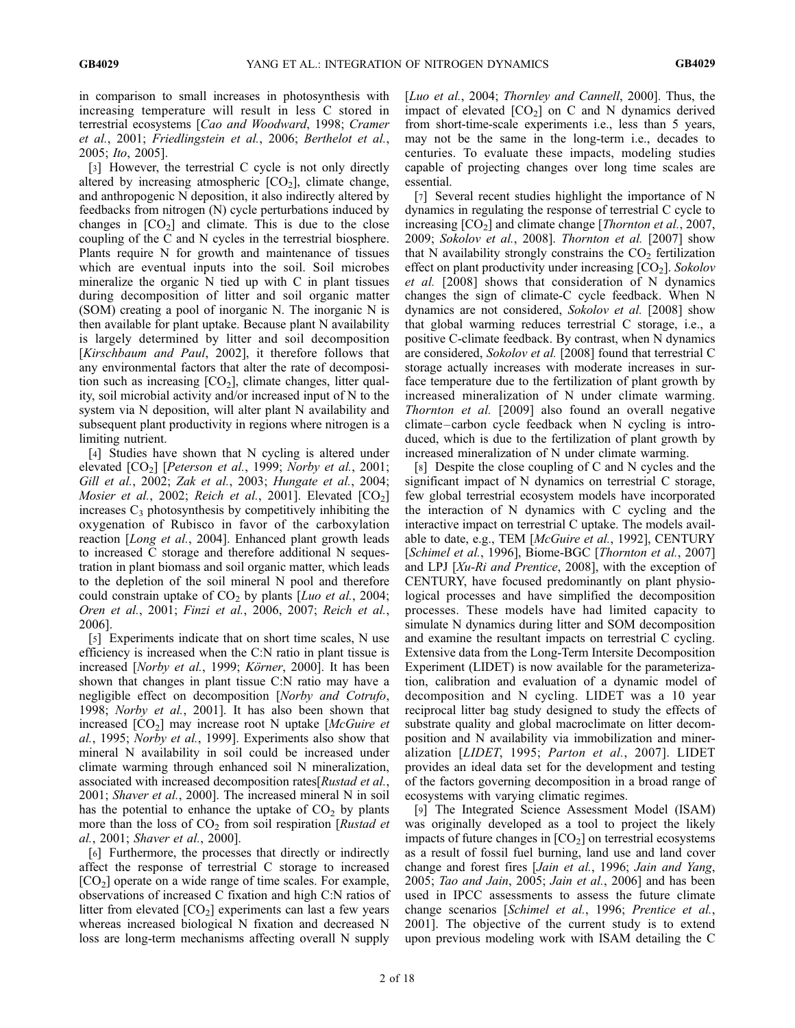in comparison to small increases in photosynthesis with increasing temperature will result in less C stored in terrestrial ecosystems [Cao and Woodward, 1998; Cramer et al., 2001; Friedlingstein et al., 2006; Berthelot et al., 2005; Ito, 2005].

[3] However, the terrestrial C cycle is not only directly altered by increasing atmospheric  $[CO<sub>2</sub>]$ , climate change, and anthropogenic N deposition, it also indirectly altered by feedbacks from nitrogen (N) cycle perturbations induced by changes in  $[CO<sub>2</sub>]$  and climate. This is due to the close coupling of the C and N cycles in the terrestrial biosphere. Plants require N for growth and maintenance of tissues which are eventual inputs into the soil. Soil microbes mineralize the organic N tied up with C in plant tissues during decomposition of litter and soil organic matter (SOM) creating a pool of inorganic N. The inorganic N is then available for plant uptake. Because plant N availability is largely determined by litter and soil decomposition [Kirschbaum and Paul, 2002], it therefore follows that any environmental factors that alter the rate of decomposition such as increasing  $[CO<sub>2</sub>]$ , climate changes, litter quality, soil microbial activity and/or increased input of N to the system via N deposition, will alter plant N availability and subsequent plant productivity in regions where nitrogen is a limiting nutrient.

[4] Studies have shown that N cycling is altered under elevated  $[CO_2]$  [Peterson et al., 1999; Norby et al., 2001; Gill et al., 2002; Zak et al., 2003; Hungate et al., 2004; *Mosier et al., 2002; Reich et al., 2001].* Elevated  $[CO_2]$ increases  $C_3$  photosynthesis by competitively inhibiting the oxygenation of Rubisco in favor of the carboxylation reaction [Long et al., 2004]. Enhanced plant growth leads to increased C storage and therefore additional N sequestration in plant biomass and soil organic matter, which leads to the depletion of the soil mineral N pool and therefore could constrain uptake of  $CO<sub>2</sub>$  by plants [*Luo et al.*, 2004; Oren et al., 2001; Finzi et al., 2006, 2007; Reich et al., 2006].

[5] Experiments indicate that on short time scales, N use efficiency is increased when the C:N ratio in plant tissue is increased [*Norby et al.*, 1999; *Körner*, 2000]. It has been shown that changes in plant tissue C:N ratio may have a negligible effect on decomposition [Norby and Cotrufo, 1998; Norby et al., 2001]. It has also been shown that increased  $[CO<sub>2</sub>]$  may increase root N uptake  $[McGuire et]$ al., 1995; Norby et al., 1999]. Experiments also show that mineral N availability in soil could be increased under climate warming through enhanced soil N mineralization, associated with increased decomposition rates[Rustad et al., 2001; *Shaver et al.*, 2000]. The increased mineral N in soil has the potential to enhance the uptake of  $CO<sub>2</sub>$  by plants more than the loss of  $CO<sub>2</sub>$  from soil respiration [*Rustad et* al., 2001; Shaver et al., 2000].

[6] Furthermore, the processes that directly or indirectly affect the response of terrestrial C storage to increased  $[CO<sub>2</sub>]$  operate on a wide range of time scales. For example, observations of increased C fixation and high C:N ratios of litter from elevated  $[CO<sub>2</sub>]$  experiments can last a few years whereas increased biological N fixation and decreased N loss are long-term mechanisms affecting overall N supply

[Luo et al., 2004; Thornley and Cannell, 2000]. Thus, the impact of elevated  $[CO<sub>2</sub>]$  on C and N dynamics derived from short-time-scale experiments i.e., less than 5 years, may not be the same in the long-term i.e., decades to centuries. To evaluate these impacts, modeling studies capable of projecting changes over long time scales are essential.

[7] Several recent studies highlight the importance of N dynamics in regulating the response of terrestrial C cycle to increasing  $[CO<sub>2</sub>]$  and climate change [*Thornton et al.*, 2007, 2009; Sokolov et al., 2008]. Thornton et al. [2007] show that N availability strongly constrains the  $CO<sub>2</sub>$  fertilization effect on plant productivity under increasing  $[CO<sub>2</sub>]$ . Sokolov et al. [2008] shows that consideration of N dynamics changes the sign of climate-C cycle feedback. When N dynamics are not considered, Sokolov et al. [2008] show that global warming reduces terrestrial C storage, i.e., a positive C-climate feedback. By contrast, when N dynamics are considered, Sokolov et al. [2008] found that terrestrial C storage actually increases with moderate increases in surface temperature due to the fertilization of plant growth by increased mineralization of N under climate warming. Thornton et al. [2009] also found an overall negative climate –carbon cycle feedback when N cycling is introduced, which is due to the fertilization of plant growth by increased mineralization of N under climate warming.

[8] Despite the close coupling of C and N cycles and the significant impact of N dynamics on terrestrial C storage, few global terrestrial ecosystem models have incorporated the interaction of N dynamics with C cycling and the interactive impact on terrestrial C uptake. The models available to date, e.g., TEM [McGuire et al., 1992], CENTURY [Schimel et al., 1996], Biome-BGC [Thornton et al., 2007] and LPJ [Xu-Ri and Prentice, 2008], with the exception of CENTURY, have focused predominantly on plant physiological processes and have simplified the decomposition processes. These models have had limited capacity to simulate N dynamics during litter and SOM decomposition and examine the resultant impacts on terrestrial C cycling. Extensive data from the Long-Term Intersite Decomposition Experiment (LIDET) is now available for the parameterization, calibration and evaluation of a dynamic model of decomposition and N cycling. LIDET was a 10 year reciprocal litter bag study designed to study the effects of substrate quality and global macroclimate on litter decomposition and N availability via immobilization and mineralization [LIDET, 1995; Parton et al., 2007]. LIDET provides an ideal data set for the development and testing of the factors governing decomposition in a broad range of ecosystems with varying climatic regimes.

[9] The Integrated Science Assessment Model (ISAM) was originally developed as a tool to project the likely impacts of future changes in  $[CO<sub>2</sub>]$  on terrestrial ecosystems as a result of fossil fuel burning, land use and land cover change and forest fires [Jain et al., 1996; Jain and Yang, 2005; Tao and Jain, 2005; Jain et al., 2006] and has been used in IPCC assessments to assess the future climate change scenarios [Schimel et al., 1996; Prentice et al., 2001]. The objective of the current study is to extend upon previous modeling work with ISAM detailing the C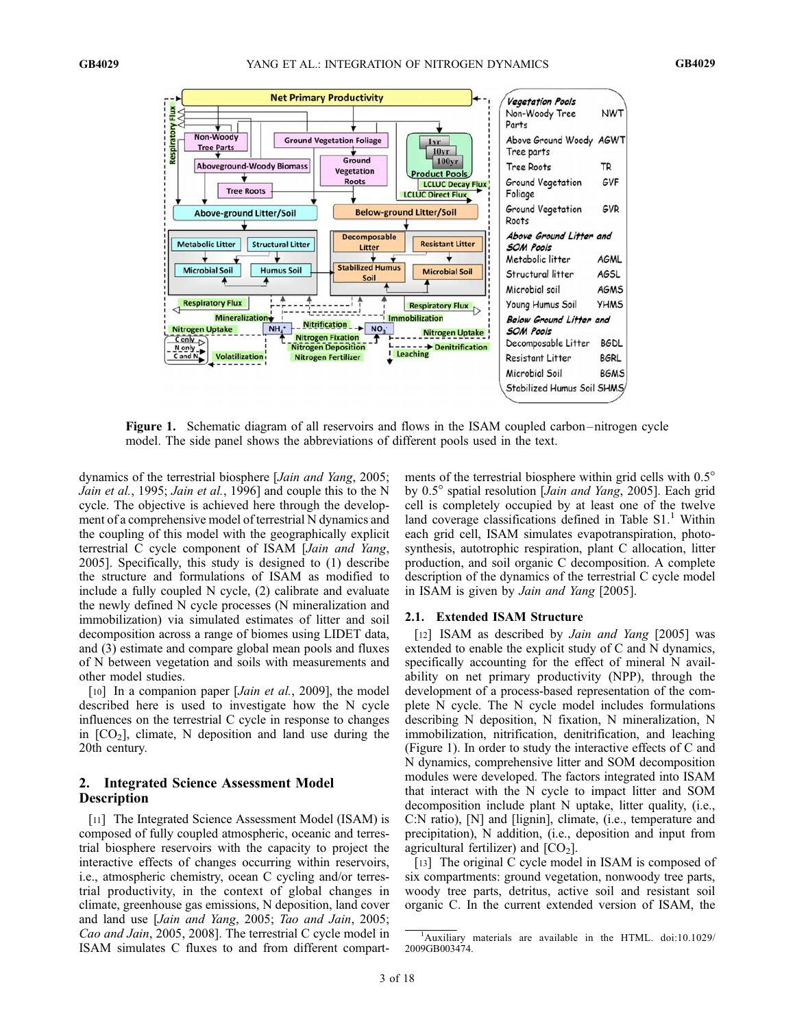

Figure 1. Schematic diagram of all reservoirs and flows in the ISAM coupled carbon – nitrogen cycle model. The side panel shows the abbreviations of different pools used in the text.

dynamics of the terrestrial biosphere [Jain and Yang, 2005; Jain et al., 1995; Jain et al., 1996] and couple this to the N cycle. The objective is achieved here through the development of a comprehensive model of terrestrial N dynamics and the coupling of this model with the geographically explicit terrestrial C cycle component of ISAM [Jain and Yang, 2005]. Specifically, this study is designed to (1) describe the structure and formulations of ISAM as modified to include a fully coupled N cycle, (2) calibrate and evaluate the newly defined N cycle processes (N mineralization and immobilization) via simulated estimates of litter and soil decomposition across a range of biomes using LIDET data, and (3) estimate and compare global mean pools and fluxes of N between vegetation and soils with measurements and other model studies.

[10] In a companion paper [*Jain et al.*, 2009], the model described here is used to investigate how the N cycle influences on the terrestrial C cycle in response to changes in  $[CO<sub>2</sub>]$ , climate, N deposition and land use during the 20th century.

# 2. Integrated Science Assessment Model **Description**

[11] The Integrated Science Assessment Model (ISAM) is composed of fully coupled atmospheric, oceanic and terrestrial biosphere reservoirs with the capacity to project the interactive effects of changes occurring within reservoirs, i.e., atmospheric chemistry, ocean C cycling and/or terrestrial productivity, in the context of global changes in climate, greenhouse gas emissions, N deposition, land cover and land use [Jain and Yang, 2005; Tao and Jain, 2005; Cao and Jain, 2005, 2008]. The terrestrial C cycle model in ISAM simulates C fluxes to and from different compart-

ments of the terrestrial biosphere within grid cells with 0.5° by 0.5° spatial resolution [Jain and Yang, 2005]. Each grid cell is completely occupied by at least one of the twelve land coverage classifications defined in Table  $S1$ .<sup>1</sup> Within each grid cell, ISAM simulates evapotranspiration, photosynthesis, autotrophic respiration, plant C allocation, litter production, and soil organic C decomposition. A complete description of the dynamics of the terrestrial C cycle model in ISAM is given by Jain and Yang [2005].

## 2.1. Extended ISAM Structure

[12] ISAM as described by Jain and Yang [2005] was extended to enable the explicit study of C and N dynamics, specifically accounting for the effect of mineral N availability on net primary productivity (NPP), through the development of a process-based representation of the complete N cycle. The N cycle model includes formulations describing N deposition, N fixation, N mineralization, N immobilization, nitrification, denitrification, and leaching (Figure 1). In order to study the interactive effects of C and N dynamics, comprehensive litter and SOM decomposition modules were developed. The factors integrated into ISAM that interact with the N cycle to impact litter and SOM decomposition include plant N uptake, litter quality, (i.e., C:N ratio), [N] and [lignin], climate, (i.e., temperature and precipitation), N addition, (i.e., deposition and input from agricultural fertilizer) and  $[CO<sub>2</sub>]$ .

[13] The original C cycle model in ISAM is composed of six compartments: ground vegetation, nonwoody tree parts, woody tree parts, detritus, active soil and resistant soil organic C. In the current extended version of ISAM, the

<sup>&</sup>lt;sup>1</sup>Auxiliary materials are available in the HTML. doi:10.1029/ 2009GB003474.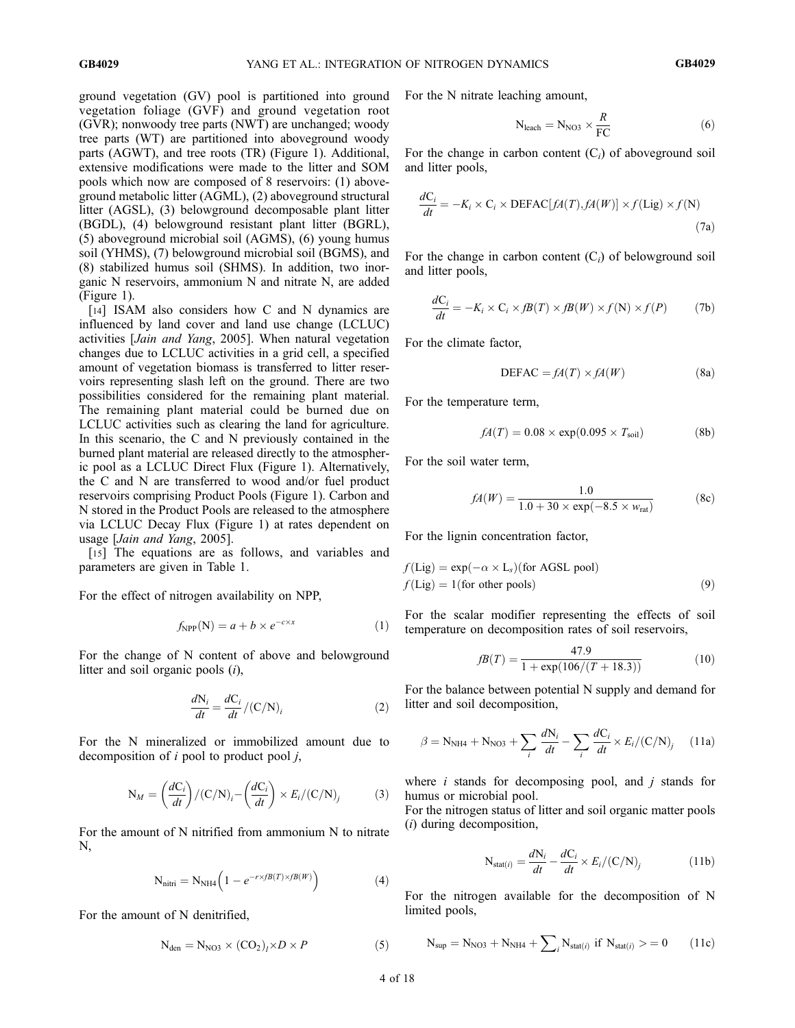ground vegetation (GV) pool is partitioned into ground vegetation foliage (GVF) and ground vegetation root (GVR); nonwoody tree parts (NWT) are unchanged; woody tree parts (WT) are partitioned into aboveground woody parts (AGWT), and tree roots (TR) (Figure 1). Additional, extensive modifications were made to the litter and SOM pools which now are composed of 8 reservoirs: (1) aboveground metabolic litter (AGML), (2) aboveground structural litter (AGSL), (3) belowground decomposable plant litter (BGDL), (4) belowground resistant plant litter (BGRL), (5) aboveground microbial soil (AGMS), (6) young humus soil (YHMS), (7) belowground microbial soil (BGMS), and (8) stabilized humus soil (SHMS). In addition, two inorganic N reservoirs, ammonium N and nitrate N, are added (Figure 1).

[14] ISAM also considers how C and N dynamics are influenced by land cover and land use change (LCLUC) activities [Jain and Yang, 2005]. When natural vegetation changes due to LCLUC activities in a grid cell, a specified amount of vegetation biomass is transferred to litter reservoirs representing slash left on the ground. There are two possibilities considered for the remaining plant material. The remaining plant material could be burned due on LCLUC activities such as clearing the land for agriculture. In this scenario, the C and N previously contained in the burned plant material are released directly to the atmospheric pool as a LCLUC Direct Flux (Figure 1). Alternatively, the C and N are transferred to wood and/or fuel product reservoirs comprising Product Pools (Figure 1). Carbon and N stored in the Product Pools are released to the atmosphere via LCLUC Decay Flux (Figure 1) at rates dependent on usage [Jain and Yang, 2005].

[15] The equations are as follows, and variables and parameters are given in Table 1.

For the effect of nitrogen availability on NPP,

$$
f_{\rm NPP}(\mathbf{N}) = a + b \times e^{-c \times x} \tag{1}
$$

For the change of N content of above and belowground litter and soil organic pools (i),

$$
\frac{dN_i}{dt} = \frac{dC_i}{dt} / (C/N)_i
$$
 (2)

For the N mineralized or immobilized amount due to decomposition of  $i$  pool to product pool  $j$ ,

$$
N_M = \left(\frac{dC_i}{dt}\right) / (C/N)_i - \left(\frac{dC_i}{dt}\right) \times E_i / (C/N)_j \tag{3}
$$

For the amount of N nitrified from ammonium N to nitrate N,

$$
N_{\text{nitri}} = N_{\text{NH4}} \left( 1 - e^{-r \times fB(T) \times fB(W)} \right) \tag{4}
$$

For the amount of N denitrified,

$$
N_{den} = N_{NO3} \times (CO_2)_l \times D \times P \tag{5}
$$

For the N nitrate leaching amount,

$$
N_{\text{leach}} = N_{NO3} \times \frac{R}{FC}
$$
 (6)

For the change in carbon content  $(C_i)$  of aboveground soil and litter pools,

$$
\frac{dC_i}{dt} = -K_i \times C_i \times \text{DEFAC}[fA(T), fA(W)] \times f(\text{Lig}) \times f(N)
$$
\n(7a)

For the change in carbon content  $(C_i)$  of belowground soil and litter pools,

$$
\frac{dC_i}{dt} = -K_i \times C_i \times fB(T) \times fB(W) \times f(N) \times f(P) \tag{7b}
$$

For the climate factor,

$$
DEFAC = fA(T) \times fA(W)
$$
 (8a)

For the temperature term,

$$
fA(T) = 0.08 \times \exp(0.095 \times T_{\text{soil}})
$$
 (8b)

For the soil water term,

$$
fA(W) = \frac{1.0}{1.0 + 30 \times \exp(-8.5 \times w_{\text{rat}})}
$$
(8c)

For the lignin concentration factor,

$$
f(\text{Lig}) = \exp(-\alpha \times \text{L}_s)(\text{for AGSL pool})
$$
  

$$
f(\text{Lig}) = 1(\text{for other pools})
$$
 (9)

For the scalar modifier representing the effects of soil temperature on decomposition rates of soil reservoirs,

$$
fB(T) = \frac{47.9}{1 + \exp(106/(T + 18.3))}
$$
(10)

For the balance between potential N supply and demand for litter and soil decomposition,

$$
\beta = N_{\text{NH4}} + N_{\text{NO3}} + \sum_{i} \frac{dN_i}{dt} - \sum_{i} \frac{dC_i}{dt} \times E_i / (C/N)_j \tag{11a}
$$

where  $i$  stands for decomposing pool, and  $j$  stands for humus or microbial pool.

For the nitrogen status of litter and soil organic matter pools (i) during decomposition,

$$
N_{\text{stat}(i)} = \frac{dN_i}{dt} - \frac{dC_i}{dt} \times E_i / (C/N)_j \tag{11b}
$$

For the nitrogen available for the decomposition of N limited pools,

$$
N_{sup}=N_{NO3}+N_{NH4}+\sum\nolimits_{i}N_{stat(i)} \ if \ N_{stat(i)}> = 0 \qquad (11c)
$$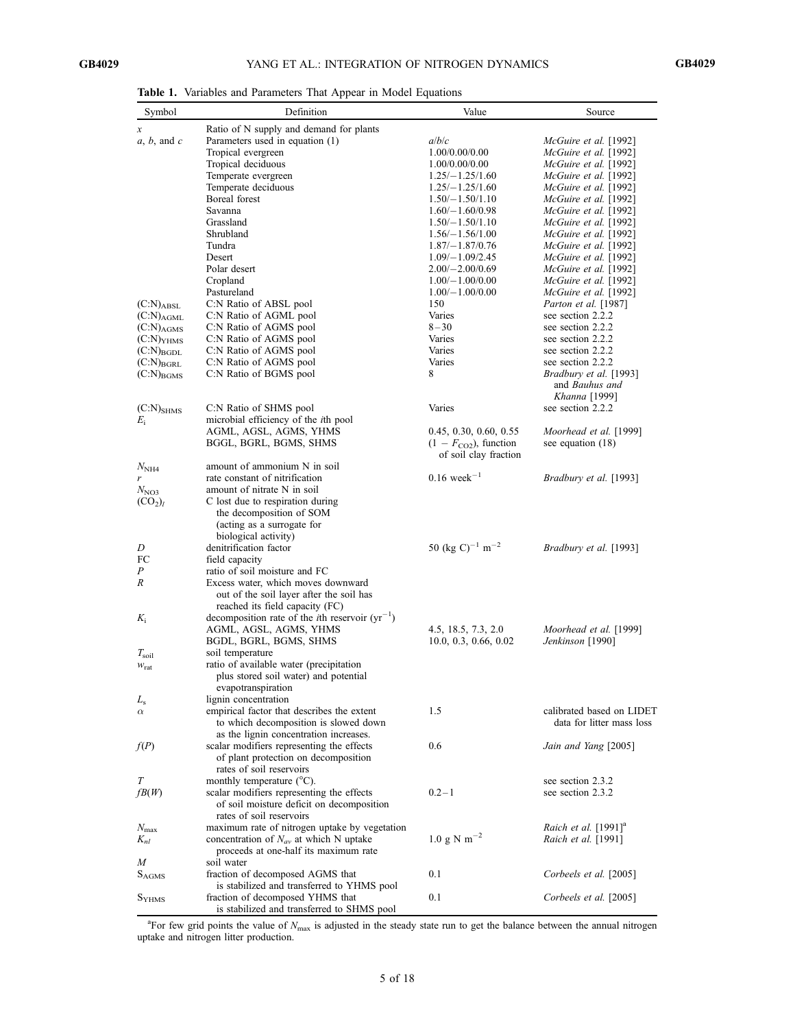Table 1. Variables and Parameters That Appear in Model Equations

| Symbol                   | Definition                                                                          | Value                                   | Source                                           |
|--------------------------|-------------------------------------------------------------------------------------|-----------------------------------------|--------------------------------------------------|
| х                        | Ratio of N supply and demand for plants                                             |                                         |                                                  |
| $a, b,$ and $c$          | Parameters used in equation (1)                                                     | a/b/c                                   | McGuire et al. [1992]                            |
|                          | Tropical evergreen                                                                  | 1.00/0.00/0.00                          | McGuire et al. [1992]                            |
|                          | Tropical deciduous                                                                  | 1.00/0.00/0.00                          | McGuire et al. [1992]                            |
|                          | Temperate evergreen                                                                 | $1.25/-1.25/1.60$                       | McGuire et al. [1992]                            |
|                          | Temperate deciduous                                                                 | $1.25/-1.25/1.60$                       | McGuire et al. [1992]                            |
|                          | Boreal forest                                                                       | $1.50/-1.50/1.10$                       | McGuire et al. [1992]                            |
|                          | Savanna                                                                             | $1.60/-1.60/0.98$                       | McGuire et al. [1992]                            |
|                          | Grassland                                                                           | $1.50/-1.50/1.10$                       | McGuire et al. [1992]                            |
|                          | Shrubland                                                                           | $1.56/-1.56/1.00$                       | McGuire et al. [1992]                            |
|                          | Tundra                                                                              | $1.87/-1.87/0.76$                       | McGuire et al. [1992]                            |
|                          | Desert                                                                              | $1.09/-1.09/2.45$                       | McGuire et al. [1992]                            |
|                          | Polar desert                                                                        | $2.00/-2.00/0.69$                       | McGuire et al. [1992]                            |
|                          | Cropland                                                                            | $1.00/-1.00/0.00$                       | McGuire et al. [1992]                            |
| $(C:N)_{ABSL}$           | Pastureland                                                                         | $1.00/-1.00/0.00$<br>150                | McGuire et al. [1992]                            |
| $(C:N)_{AGML}$           | C:N Ratio of ABSL pool<br>C:N Ratio of AGML pool                                    | Varies                                  | <i>Parton et al.</i> [1987]<br>see section 2.2.2 |
| $(C:N)_{AGMS}$           | C:N Ratio of AGMS pool                                                              | $8 - 30$                                | see section 2.2.2                                |
| $(C:N)$ YHMS             | C:N Ratio of AGMS pool                                                              | Varies                                  | see section 2.2.2                                |
| $(C:N)_{BGDL}$           | C:N Ratio of AGMS pool                                                              | Varies                                  | see section 2.2.2                                |
| $(C:N)_{BGRL}$           | C:N Ratio of AGMS pool                                                              | Varies                                  | see section 2.2.2                                |
| $(C:N)_{BGMS}$           | C:N Ratio of BGMS pool                                                              | 8                                       | Bradbury et al. [1993]                           |
|                          |                                                                                     |                                         | and Bauhus and                                   |
|                          |                                                                                     |                                         | Khanna [1999]                                    |
| $(C:N)_{SHMS}$           | C:N Ratio of SHMS pool                                                              | Varies                                  | see section 2.2.2                                |
| $E_i$                    | microbial efficiency of the <i>i</i> th pool                                        |                                         |                                                  |
|                          | AGML, AGSL, AGMS, YHMS                                                              | 0.45, 0.30, 0.60, 0.55                  | Moorhead et al. [1999]                           |
|                          | BGGL, BGRL, BGMS, SHMS                                                              | $(1 - FCO2)$ , function                 | see equation $(18)$                              |
|                          |                                                                                     | of soil clay fraction                   |                                                  |
| $N_{\rm NH4}$            | amount of ammonium N in soil                                                        |                                         |                                                  |
| r                        | rate constant of nitrification                                                      | $0.16$ week <sup>-1</sup>               | Bradbury et al. [1993]                           |
| $N_{NO3}$                | amount of nitrate N in soil                                                         |                                         |                                                  |
| $(CO_2)_l$               | C lost due to respiration during                                                    |                                         |                                                  |
|                          | the decomposition of SOM                                                            |                                         |                                                  |
|                          | (acting as a surrogate for<br>biological activity)                                  |                                         |                                                  |
| D                        | denitrification factor                                                              | 50 (kg C) <sup>-1</sup> m <sup>-2</sup> | Bradbury et al. [1993]                           |
| FC                       | field capacity                                                                      |                                         |                                                  |
| Ρ                        | ratio of soil moisture and FC                                                       |                                         |                                                  |
| R                        | Excess water, which moves downward                                                  |                                         |                                                  |
|                          | out of the soil layer after the soil has                                            |                                         |                                                  |
|                          | reached its field capacity (FC)                                                     |                                         |                                                  |
| $K_i$                    | decomposition rate of the <i>i</i> th reservoir $(yr^{-1})$                         |                                         |                                                  |
|                          | AGML, AGSL, AGMS, YHMS                                                              | 4.5, 18.5, 7.3, 2.0                     | Moorhead et al. [1999]                           |
|                          | BGDL, BGRL, BGMS, SHMS                                                              | 10.0, 0.3, 0.66, 0.02                   | Jenkinson [1990]                                 |
| $T_{\rm soil}$           | soil temperature                                                                    |                                         |                                                  |
| $W_{\text{rat}}$         | ratio of available water (precipitation                                             |                                         |                                                  |
|                          | plus stored soil water) and potential                                               |                                         |                                                  |
|                          | evapotranspiration                                                                  |                                         |                                                  |
| $L_{\rm s}$              | lignin concentration                                                                |                                         | calibrated based on LIDET                        |
| $\alpha$                 | empirical factor that describes the extent<br>to which decomposition is slowed down | 1.5                                     | data for litter mass loss                        |
|                          | as the lignin concentration increases.                                              |                                         |                                                  |
| f(P)                     | scalar modifiers representing the effects                                           | 0.6                                     | Jain and Yang [2005]                             |
|                          | of plant protection on decomposition                                                |                                         |                                                  |
|                          | rates of soil reservoirs                                                            |                                         |                                                  |
| Т                        | monthly temperature $(^{\circ}C)$ .                                                 |                                         | see section 2.3.2                                |
| f(B(W))                  | scalar modifiers representing the effects                                           | $0.2 - 1$                               | see section 2.3.2                                |
|                          | of soil moisture deficit on decomposition                                           |                                         |                                                  |
|                          | rates of soil reservoirs                                                            |                                         |                                                  |
| $N_{\rm max}$            | maximum rate of nitrogen uptake by vegetation                                       |                                         | Raich et al. [1991] <sup>a</sup>                 |
| $K_{nl}$                 | concentration of $N_{av}$ at which N uptake                                         | $1.0 \text{ g N m}^{-2}$                | Raich et al. [1991]                              |
|                          | proceeds at one-half its maximum rate                                               |                                         |                                                  |
| M                        | soil water                                                                          |                                         |                                                  |
| $\mathcal{S}_{\rm AGMS}$ | fraction of decomposed AGMS that                                                    | 0.1                                     | Corbeels et al. [2005]                           |
|                          | is stabilized and transferred to YHMS pool                                          |                                         |                                                  |
| $S_{YHMS}$               | fraction of decomposed YHMS that                                                    | 0.1                                     | Corbeels et al. [2005]                           |
|                          | is stabilized and transferred to SHMS pool                                          |                                         |                                                  |

<sup>a</sup>For few grid points the value of  $N_{\text{max}}$  is adjusted in the steady state run to get the balance between the annual nitrogen uptake and nitrogen litter production.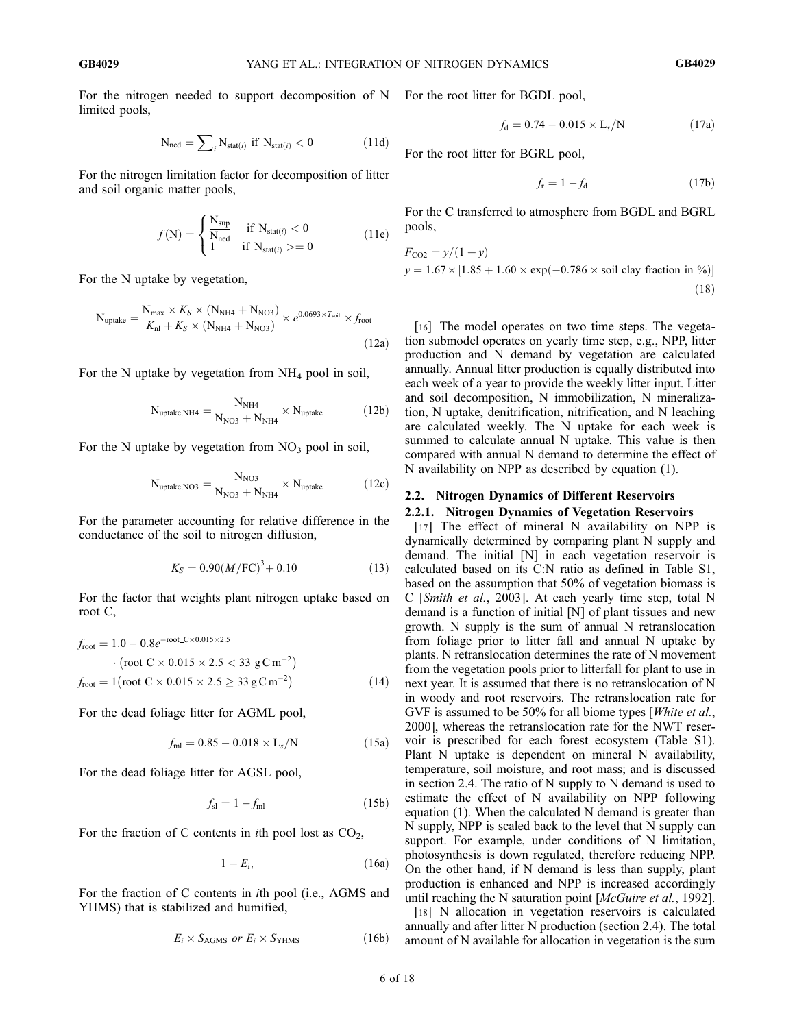For the nitrogen needed to support decomposition of N For the root litter for BGDL pool, limited pools,

$$
N_{\text{ned}} = \sum_{i} N_{\text{stat}(i)} \text{ if } N_{\text{stat}(i)} < 0 \tag{11d}
$$

For the nitrogen limitation factor for decomposition of litter and soil organic matter pools,

$$
f(N) = \begin{cases} \frac{N_{\text{sup}}}{N_{\text{ned}}} & \text{if } N_{\text{stat}(i)} < 0\\ 1 & \text{if } N_{\text{stat}(i)} > = 0 \end{cases}
$$
 (11e)

For the N uptake by vegetation,

$$
N_{\text{uptake}} = \frac{N_{\text{max}} \times K_S \times (N_{\text{NH4}} + N_{\text{NO3}})}{K_{\text{nl}} + K_S \times (N_{\text{NH4}} + N_{\text{NO3}})} \times e^{0.0693 \times T_{\text{sol}}} \times f_{\text{root}}
$$
\n(12a)

For the N uptake by vegetation from  $NH<sub>4</sub>$  pool in soil,

$$
N_{\text{uptake,NH4}} = \frac{N_{\text{NH4}}}{N_{\text{NO3}} + N_{\text{NH4}}} \times N_{\text{uptake}} \tag{12b}
$$

For the N uptake by vegetation from  $NO<sub>3</sub>$  pool in soil,

$$
N_{\text{uptake,NO3}} = \frac{N_{\text{NO3}}}{N_{\text{NO3}} + N_{\text{NH4}}} \times N_{\text{uptake}} \tag{12c}
$$

For the parameter accounting for relative difference in the conductance of the soil to nitrogen diffusion,

$$
K_S = 0.90 \left( M/\text{FC} \right)^3 + 0.10 \tag{13}
$$

For the factor that weights plant nitrogen uptake based on root C,

$$
f_{\text{root}} = 1.0 - 0.8e^{-\text{root\_C} \times 0.015 \times 2.5}
$$
  
• (root C × 0.015 × 2.5 < 33 g C m<sup>-2</sup>)  

$$
f_{\text{root}} = 1 (\text{root C} \times 0.015 \times 2.5 \ge 33 g C m^{-2})
$$
(14)

For the dead foliage litter for AGML pool,

$$
f_{\rm ml} = 0.85 - 0.018 \times L_s / N \tag{15a}
$$

For the dead foliage litter for AGSL pool,

$$
f_{\rm sl} = 1 - f_{\rm ml} \tag{15b}
$$

For the fraction of C contents in *i*th pool lost as  $CO<sub>2</sub>$ ,

$$
1 - E_i, \t\t(16a)
$$

For the fraction of C contents in ith pool (i.e., AGMS and YHMS) that is stabilized and humified,

$$
E_i \times S_{\text{AGMS}} \text{ or } E_i \times S_{\text{YHMS}} \tag{16b}
$$

$$
f_{\rm d} = 0.74 - 0.015 \times L_s/N \tag{17a}
$$

For the root litter for BGRL pool,

$$
f_{\rm r} = 1 - f_{\rm d} \tag{17b}
$$

For the C transferred to atmosphere from BGDL and BGRL pools,

$$
F_{\text{CO2}} = y/(1+y)
$$
  
y = 1.67 × [1.85 + 1.60 × exp(-0.786 × soil clay fraction in %)] (18)

[16] The model operates on two time steps. The vegetation submodel operates on yearly time step, e.g., NPP, litter production and N demand by vegetation are calculated annually. Annual litter production is equally distributed into each week of a year to provide the weekly litter input. Litter and soil decomposition, N immobilization, N mineralization, N uptake, denitrification, nitrification, and N leaching are calculated weekly. The N uptake for each week is summed to calculate annual N uptake. This value is then compared with annual N demand to determine the effect of N availability on NPP as described by equation (1).

#### 2.2. Nitrogen Dynamics of Different Reservoirs

### 2.2.1. Nitrogen Dynamics of Vegetation Reservoirs

[17] The effect of mineral N availability on NPP is dynamically determined by comparing plant N supply and demand. The initial [N] in each vegetation reservoir is calculated based on its C:N ratio as defined in Table S1, based on the assumption that 50% of vegetation biomass is C [Smith et al., 2003]. At each yearly time step, total N demand is a function of initial [N] of plant tissues and new growth. N supply is the sum of annual N retranslocation from foliage prior to litter fall and annual N uptake by plants. N retranslocation determines the rate of N movement from the vegetation pools prior to litterfall for plant to use in next year. It is assumed that there is no retranslocation of N in woody and root reservoirs. The retranslocation rate for GVF is assumed to be 50% for all biome types [White et al., 2000], whereas the retranslocation rate for the NWT reservoir is prescribed for each forest ecosystem (Table S1). Plant N uptake is dependent on mineral N availability, temperature, soil moisture, and root mass; and is discussed in section 2.4. The ratio of N supply to N demand is used to estimate the effect of N availability on NPP following equation (1). When the calculated N demand is greater than N supply, NPP is scaled back to the level that N supply can support. For example, under conditions of N limitation, photosynthesis is down regulated, therefore reducing NPP. On the other hand, if N demand is less than supply, plant production is enhanced and NPP is increased accordingly until reaching the N saturation point [McGuire et al., 1992].

[18] N allocation in vegetation reservoirs is calculated annually and after litter N production (section 2.4). The total amount of N available for allocation in vegetation is the sum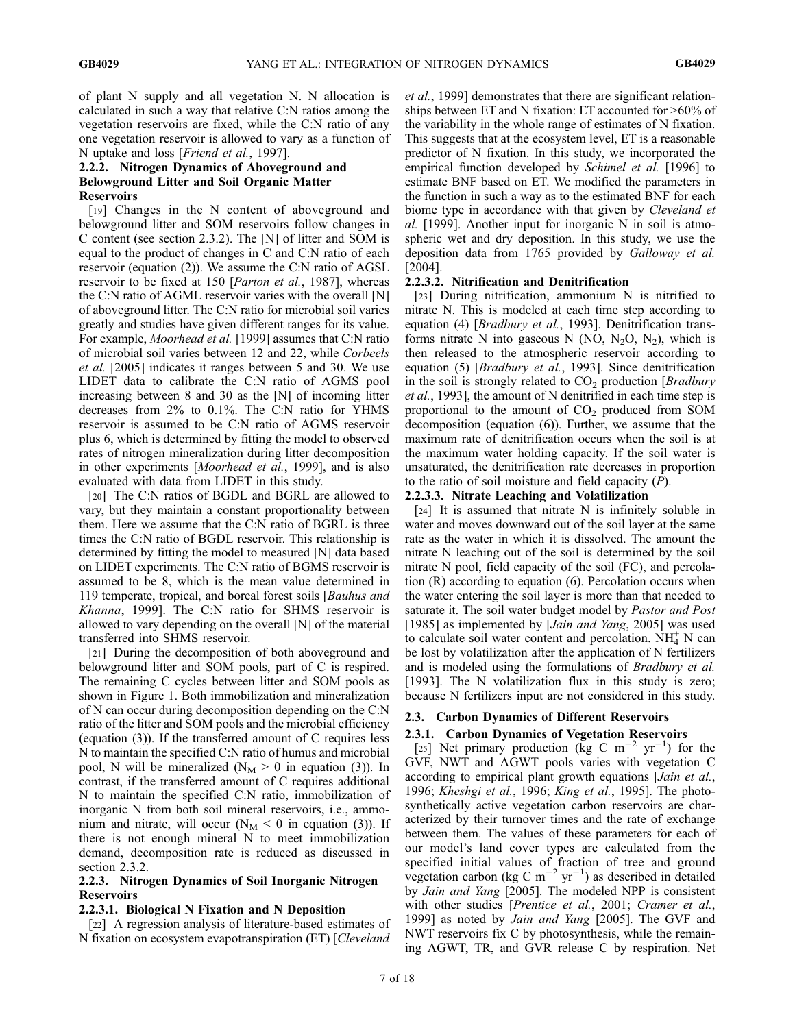of plant N supply and all vegetation N. N allocation is calculated in such a way that relative C:N ratios among the vegetation reservoirs are fixed, while the C:N ratio of any one vegetation reservoir is allowed to vary as a function of N uptake and loss [*Friend et al.*, 1997].

### 2.2.2. Nitrogen Dynamics of Aboveground and Belowground Litter and Soil Organic Matter Reservoirs

[19] Changes in the N content of aboveground and belowground litter and SOM reservoirs follow changes in C content (see section 2.3.2). The [N] of litter and SOM is equal to the product of changes in C and C:N ratio of each reservoir (equation (2)). We assume the C:N ratio of AGSL reservoir to be fixed at 150 [Parton et al., 1987], whereas the C:N ratio of AGML reservoir varies with the overall [N] of aboveground litter. The C:N ratio for microbial soil varies greatly and studies have given different ranges for its value. For example, Moorhead et al. [1999] assumes that C:N ratio of microbial soil varies between 12 and 22, while Corbeels et al. [2005] indicates it ranges between 5 and 30. We use LIDET data to calibrate the C:N ratio of AGMS pool increasing between 8 and 30 as the [N] of incoming litter decreases from 2% to 0.1%. The C:N ratio for YHMS reservoir is assumed to be C:N ratio of AGMS reservoir plus 6, which is determined by fitting the model to observed rates of nitrogen mineralization during litter decomposition in other experiments [Moorhead et al., 1999], and is also evaluated with data from LIDET in this study.

[20] The C:N ratios of BGDL and BGRL are allowed to vary, but they maintain a constant proportionality between them. Here we assume that the C:N ratio of BGRL is three times the C:N ratio of BGDL reservoir. This relationship is determined by fitting the model to measured [N] data based on LIDET experiments. The C:N ratio of BGMS reservoir is assumed to be 8, which is the mean value determined in 119 temperate, tropical, and boreal forest soils [Bauhus and Khanna, 1999]. The C:N ratio for SHMS reservoir is allowed to vary depending on the overall [N] of the material transferred into SHMS reservoir.

[21] During the decomposition of both aboveground and belowground litter and SOM pools, part of C is respired. The remaining C cycles between litter and SOM pools as shown in Figure 1. Both immobilization and mineralization of N can occur during decomposition depending on the C:N ratio of the litter and SOM pools and the microbial efficiency (equation (3)). If the transferred amount of C requires less N to maintain the specified C:N ratio of humus and microbial pool, N will be mineralized ( $N_M > 0$  in equation (3)). In contrast, if the transferred amount of C requires additional N to maintain the specified C:N ratio, immobilization of inorganic N from both soil mineral reservoirs, i.e., ammonium and nitrate, will occur ( $N_M < 0$  in equation (3)). If there is not enough mineral N to meet immobilization demand, decomposition rate is reduced as discussed in section 2.3.2.

## 2.2.3. Nitrogen Dynamics of Soil Inorganic Nitrogen Reservoirs

### 2.2.3.1. Biological N Fixation and N Deposition

[22] A regression analysis of literature-based estimates of N fixation on ecosystem evapotranspiration (ET) [Cleveland

et al., 1999] demonstrates that there are significant relationships between ET and N fixation: ET accounted for >60% of the variability in the whole range of estimates of N fixation. This suggests that at the ecosystem level, ET is a reasonable predictor of N fixation. In this study, we incorporated the empirical function developed by *Schimel et al.* [1996] to estimate BNF based on ET. We modified the parameters in the function in such a way as to the estimated BNF for each biome type in accordance with that given by Cleveland et al. [1999]. Another input for inorganic N in soil is atmospheric wet and dry deposition. In this study, we use the deposition data from 1765 provided by Galloway et al. [2004].

### 2.2.3.2. Nitrification and Denitrification

[23] During nitrification, ammonium N is nitrified to nitrate N. This is modeled at each time step according to equation (4) [*Bradbury et al.*, 1993]. Denitrification transforms nitrate N into gaseous N (NO, N<sub>2</sub>O, N<sub>2</sub>), which is then released to the atmospheric reservoir according to equation (5) [Bradbury et al., 1993]. Since denitrification in the soil is strongly related to  $CO<sub>2</sub>$  production [*Bradbury* et al., 1993], the amount of N denitrified in each time step is proportional to the amount of  $CO<sub>2</sub>$  produced from SOM decomposition (equation (6)). Further, we assume that the maximum rate of denitrification occurs when the soil is at the maximum water holding capacity. If the soil water is unsaturated, the denitrification rate decreases in proportion to the ratio of soil moisture and field capacity  $(P)$ .

### 2.2.3.3. Nitrate Leaching and Volatilization

[24] It is assumed that nitrate N is infinitely soluble in water and moves downward out of the soil layer at the same rate as the water in which it is dissolved. The amount the nitrate N leaching out of the soil is determined by the soil nitrate N pool, field capacity of the soil (FC), and percolation (R) according to equation (6). Percolation occurs when the water entering the soil layer is more than that needed to saturate it. The soil water budget model by *Pastor and Post* [1985] as implemented by [Jain and Yang, 2005] was used to calculate soil water content and percolation.  $NH<sub>4</sub><sup>+</sup>$  N can be lost by volatilization after the application of N fertilizers and is modeled using the formulations of Bradbury et al. [1993]. The N volatilization flux in this study is zero; because N fertilizers input are not considered in this study.

# 2.3. Carbon Dynamics of Different Reservoirs

# 2.3.1. Carbon Dynamics of Vegetation Reservoirs [25] Net primary production ( $\text{kg} \text{ C m}^{-2} \text{ yr}^{-1}$ ) for the

GVF, NWT and AGWT pools varies with vegetation C according to empirical plant growth equations [*Jain et al.*, 1996; Kheshgi et al., 1996; King et al., 1995]. The photosynthetically active vegetation carbon reservoirs are characterized by their turnover times and the rate of exchange between them. The values of these parameters for each of our model's land cover types are calculated from the specified initial values of fraction of tree and ground vegetation carbon (kg C m<sup>-2</sup> yr<sup>-1</sup>) as described in detailed by Jain and Yang [2005]. The modeled NPP is consistent with other studies [Prentice et al., 2001; Cramer et al., 1999] as noted by Jain and Yang [2005]. The GVF and NWT reservoirs fix C by photosynthesis, while the remaining AGWT, TR, and GVR release C by respiration. Net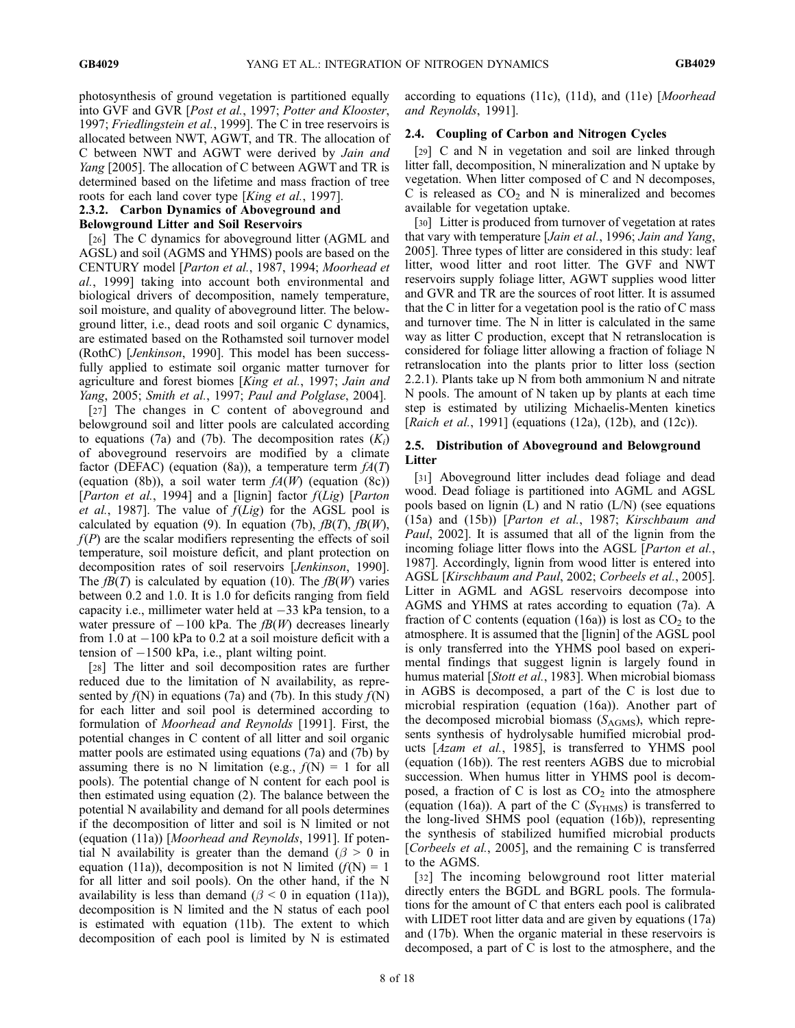photosynthesis of ground vegetation is partitioned equally into GVF and GVR [Post et al., 1997; Potter and Klooster, 1997; Friedlingstein et al., 1999]. The C in tree reservoirs is allocated between NWT, AGWT, and TR. The allocation of C between NWT and AGWT were derived by Jain and Yang [2005]. The allocation of C between AGWT and TR is determined based on the lifetime and mass fraction of tree roots for each land cover type [King et al., 1997].

# 2.3.2. Carbon Dynamics of Aboveground and

## Belowground Litter and Soil Reservoirs

[26] The C dynamics for aboveground litter (AGML and AGSL) and soil (AGMS and YHMS) pools are based on the CENTURY model [Parton et al., 1987, 1994; Moorhead et al., 1999] taking into account both environmental and biological drivers of decomposition, namely temperature, soil moisture, and quality of aboveground litter. The belowground litter, i.e., dead roots and soil organic C dynamics, are estimated based on the Rothamsted soil turnover model (RothC) [Jenkinson, 1990]. This model has been successfully applied to estimate soil organic matter turnover for agriculture and forest biomes [King et al., 1997; Jain and Yang, 2005; Smith et al., 1997; Paul and Polglase, 2004].

[27] The changes in C content of aboveground and belowground soil and litter pools are calculated according to equations (7a) and (7b). The decomposition rates  $(K_i)$ of aboveground reservoirs are modified by a climate factor (DEFAC) (equation (8a)), a temperature term  $fA(T)$ (equation (8b)), a soil water term  $f(A(W))$  (equation (8c)) [*Parton et al.*, 1994] and a [lignin] factor  $f(Lig)$  [*Parton et al.*, 1987]. The value of  $f(Lig)$  for the AGSL pool is calculated by equation (9). In equation (7b),  $f(x)$ ,  $f(x)$ ,  $f(x)$ ,  $f(P)$  are the scalar modifiers representing the effects of soil temperature, soil moisture deficit, and plant protection on decomposition rates of soil reservoirs [Jenkinson, 1990]. The  $f(B(T))$  is calculated by equation (10). The  $f(B(W))$  varies between 0.2 and 1.0. It is 1.0 for deficits ranging from field capacity i.e., millimeter water held at  $-33$  kPa tension, to a water pressure of  $-100$  kPa. The  $fB(W)$  decreases linearly from 1.0 at  $-100$  kPa to 0.2 at a soil moisture deficit with a tension of -1500 kPa, i.e., plant wilting point.

[28] The litter and soil decomposition rates are further reduced due to the limitation of N availability, as represented by  $f(N)$  in equations (7a) and (7b). In this study  $f(N)$ for each litter and soil pool is determined according to formulation of Moorhead and Reynolds [1991]. First, the potential changes in C content of all litter and soil organic matter pools are estimated using equations (7a) and (7b) by assuming there is no N limitation (e.g.,  $f(N) = 1$  for all pools). The potential change of N content for each pool is then estimated using equation (2). The balance between the potential N availability and demand for all pools determines if the decomposition of litter and soil is N limited or not (equation (11a)) [Moorhead and Reynolds, 1991]. If potential N availability is greater than the demand  $(\beta > 0$  in equation (11a)), decomposition is not N limited  $(f(N) = 1)$ for all litter and soil pools). On the other hand, if the N availability is less than demand ( $\beta$  < 0 in equation (11a)), decomposition is N limited and the N status of each pool is estimated with equation (11b). The extent to which decomposition of each pool is limited by N is estimated

according to equations (11c), (11d), and (11e) [Moorhead and Reynolds, 1991].

## 2.4. Coupling of Carbon and Nitrogen Cycles

[29] C and N in vegetation and soil are linked through litter fall, decomposition, N mineralization and N uptake by vegetation. When litter composed of C and N decomposes, C is released as  $CO<sub>2</sub>$  and N is mineralized and becomes available for vegetation uptake.

[30] Litter is produced from turnover of vegetation at rates that vary with temperature [Jain et al., 1996; Jain and Yang, 2005]. Three types of litter are considered in this study: leaf litter, wood litter and root litter. The GVF and NWT reservoirs supply foliage litter, AGWT supplies wood litter and GVR and TR are the sources of root litter. It is assumed that the C in litter for a vegetation pool is the ratio of C mass and turnover time. The N in litter is calculated in the same way as litter C production, except that N retranslocation is considered for foliage litter allowing a fraction of foliage N retranslocation into the plants prior to litter loss (section 2.2.1). Plants take up N from both ammonium N and nitrate N pools. The amount of N taken up by plants at each time step is estimated by utilizing Michaelis-Menten kinetics [Raich et al., 1991] (equations (12a), (12b), and (12c)).

## 2.5. Distribution of Aboveground and Belowground Litter

[31] Aboveground litter includes dead foliage and dead wood. Dead foliage is partitioned into AGML and AGSL pools based on lignin (L) and N ratio (L/N) (see equations (15a) and (15b)) [Parton et al., 1987; Kirschbaum and Paul, 2002]. It is assumed that all of the lignin from the incoming foliage litter flows into the AGSL [*Parton et al.*, 1987]. Accordingly, lignin from wood litter is entered into AGSL [Kirschbaum and Paul, 2002; Corbeels et al., 2005]. Litter in AGML and AGSL reservoirs decompose into AGMS and YHMS at rates according to equation (7a). A fraction of C contents (equation (16a)) is lost as  $CO<sub>2</sub>$  to the atmosphere. It is assumed that the [lignin] of the AGSL pool is only transferred into the YHMS pool based on experimental findings that suggest lignin is largely found in humus material [Stott et al., 1983]. When microbial biomass in AGBS is decomposed, a part of the C is lost due to microbial respiration (equation (16a)). Another part of the decomposed microbial biomass  $(S_{AGMS})$ , which represents synthesis of hydrolysable humified microbial products [Azam et al., 1985], is transferred to YHMS pool (equation (16b)). The rest reenters AGBS due to microbial succession. When humus litter in YHMS pool is decomposed, a fraction of C is lost as  $CO<sub>2</sub>$  into the atmosphere (equation (16a)). A part of the C ( $S_{YHMS}$ ) is transferred to the long-lived SHMS pool (equation (16b)), representing the synthesis of stabilized humified microbial products [*Corbeels et al.*, 2005], and the remaining C is transferred to the AGMS.

[32] The incoming belowground root litter material directly enters the BGDL and BGRL pools. The formulations for the amount of C that enters each pool is calibrated with LIDET root litter data and are given by equations (17a) and (17b). When the organic material in these reservoirs is decomposed, a part of C is lost to the atmosphere, and the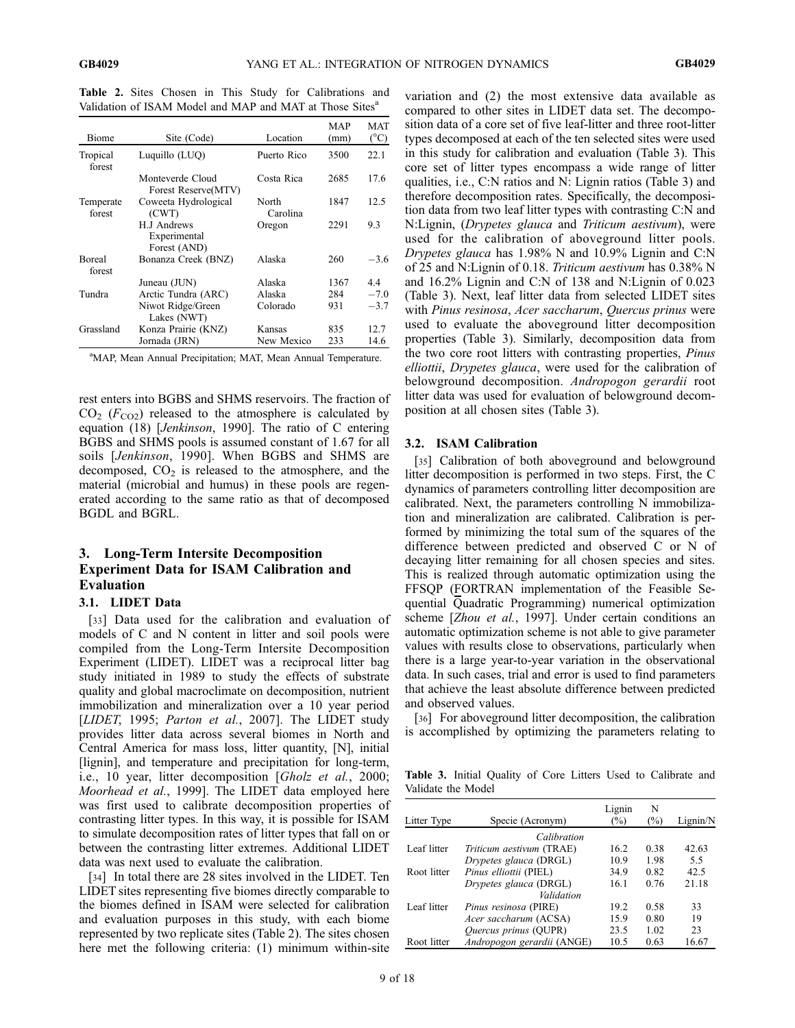Table 2. Sites Chosen in This Study for Calibrations and Validation of ISAM Model and MAP and MAT at Those Sites<sup>a</sup>

| Biome                   | Site (Code)                                 | Location          | MAP<br>(mm) | MAT<br>$(^{\circ}C)$ |
|-------------------------|---------------------------------------------|-------------------|-------------|----------------------|
| Tropical<br>forest      | Luquillo (LUQ)                              | Puerto Rico       | 3500        | 22.1                 |
|                         | Monteverde Cloud<br>Forest Reserve(MTV)     | Costa Rica        | 2685        | 17.6                 |
| Temperate<br>forest     | Coweeta Hydrological<br>(CWT)               | North<br>Carolina | 1847        | 12.5                 |
|                         | H.J Andrews<br>Experimental<br>Forest (AND) | Oregon            | 2291        | 9.3                  |
| <b>Boreal</b><br>forest | Bonanza Creek (BNZ)                         | Alaska            | 260         | $-3.6$               |
|                         | Juneau (JUN)                                | Alaska            | 1367        | 4.4                  |
| Tundra                  | Arctic Tundra (ARC)                         | Alaska            | 284         | $-7.0$               |
|                         | Niwot Ridge/Green<br>Lakes (NWT)            | Colorado          | 931         | $-3.7$               |
| Grassland               | Konza Prairie (KNZ)                         | Kansas            | 835         | 12.7                 |
|                         | Jornada (JRN)                               | New Mexico        | 233         | 14.6                 |

<sup>a</sup>MAP, Mean Annual Precipitation; MAT, Mean Annual Temperature.

rest enters into BGBS and SHMS reservoirs. The fraction of  $CO<sub>2</sub>$  ( $F<sub>CO2</sub>$ ) released to the atmosphere is calculated by equation (18) [Jenkinson, 1990]. The ratio of C entering BGBS and SHMS pools is assumed constant of 1.67 for all soils [Jenkinson, 1990]. When BGBS and SHMS are decomposed,  $CO<sub>2</sub>$  is released to the atmosphere, and the material (microbial and humus) in these pools are regenerated according to the same ratio as that of decomposed BGDL and BGRL.

# 3. Long-Term Intersite Decomposition Experiment Data for ISAM Calibration and Evaluation

#### 3.1. LIDET Data

[33] Data used for the calibration and evaluation of models of C and N content in litter and soil pools were compiled from the Long-Term Intersite Decomposition Experiment (LIDET). LIDET was a reciprocal litter bag study initiated in 1989 to study the effects of substrate quality and global macroclimate on decomposition, nutrient immobilization and mineralization over a 10 year period [LIDET, 1995; Parton et al., 2007]. The LIDET study provides litter data across several biomes in North and Central America for mass loss, litter quantity, [N], initial [lignin], and temperature and precipitation for long-term, i.e., 10 year, litter decomposition [Gholz et al., 2000; Moorhead et al., 1999]. The LIDET data employed here was first used to calibrate decomposition properties of contrasting litter types. In this way, it is possible for ISAM to simulate decomposition rates of litter types that fall on or between the contrasting litter extremes. Additional LIDET data was next used to evaluate the calibration.

[34] In total there are 28 sites involved in the LIDET. Ten LIDET sites representing five biomes directly comparable to the biomes defined in ISAM were selected for calibration and evaluation purposes in this study, with each biome represented by two replicate sites (Table 2). The sites chosen here met the following criteria: (1) minimum within-site

variation and (2) the most extensive data available as compared to other sites in LIDET data set. The decomposition data of a core set of five leaf-litter and three root-litter types decomposed at each of the ten selected sites were used in this study for calibration and evaluation (Table 3). This core set of litter types encompass a wide range of litter qualities, i.e., C:N ratios and N: Lignin ratios (Table 3) and therefore decomposition rates. Specifically, the decomposition data from two leaf litter types with contrasting C:N and N:Lignin, (Drypetes glauca and Triticum aestivum), were used for the calibration of aboveground litter pools. Drypetes glauca has 1.98% N and 10.9% Lignin and C:N of 25 and N:Lignin of 0.18. Triticum aestivum has 0.38% N and 16.2% Lignin and C:N of 138 and N:Lignin of 0.023 (Table 3). Next, leaf litter data from selected LIDET sites with *Pinus resinosa, Acer saccharum, Quercus prinus* were used to evaluate the aboveground litter decomposition properties (Table 3). Similarly, decomposition data from the two core root litters with contrasting properties, Pinus elliottii, Drypetes glauca, were used for the calibration of belowground decomposition. Andropogon gerardii root litter data was used for evaluation of belowground decomposition at all chosen sites (Table 3).

#### 3.2. ISAM Calibration

[35] Calibration of both aboveground and belowground litter decomposition is performed in two steps. First, the C dynamics of parameters controlling litter decomposition are calibrated. Next, the parameters controlling N immobilization and mineralization are calibrated. Calibration is performed by minimizing the total sum of the squares of the difference between predicted and observed C or N of decaying litter remaining for all chosen species and sites. This is realized through automatic optimization using the FFSQP (FORTRAN implementation of the Feasible Sequential Quadratic Programming) numerical optimization scheme [Zhou et al., 1997]. Under certain conditions an automatic optimization scheme is not able to give parameter values with results close to observations, particularly when there is a large year-to-year variation in the observational data. In such cases, trial and error is used to find parameters that achieve the least absolute difference between predicted and observed values.

[36] For aboveground litter decomposition, the calibration is accomplished by optimizing the parameters relating to

Table 3. Initial Quality of Core Litters Used to Calibrate and Validate the Model

| Litter Type | Specie (Acronym)             | Lignin<br>$\binom{0}{0}$ | N<br>$(\%)$ | Lignin/N |
|-------------|------------------------------|--------------------------|-------------|----------|
|             | Calibration                  |                          |             |          |
| Leaf litter | Triticum aestivum (TRAE)     | 16.2                     | 0.38        | 42.63    |
|             | Drypetes glauca (DRGL)       | 10.9                     | 1.98        | 5.5      |
| Root litter | Pinus elliottii (PIEL)       | 34.9                     | 0.82        | 42.5     |
|             | Drypetes glauca (DRGL)       | 16.1                     | 0.76        | 21.18    |
|             | Validation                   |                          |             |          |
| Leaf litter | Pinus resinosa (PIRE)        | 19.2                     | 0.58        | 33       |
|             | Acer saccharum (ACSA)        | 15.9                     | 0.80        | 19       |
|             | <i>Ouercus prinus</i> (OUPR) | 23.5                     | 1.02        | 23       |
| Root litter | Andropogon gerardii (ANGE)   | 10.5                     | 0.63        | 16.67    |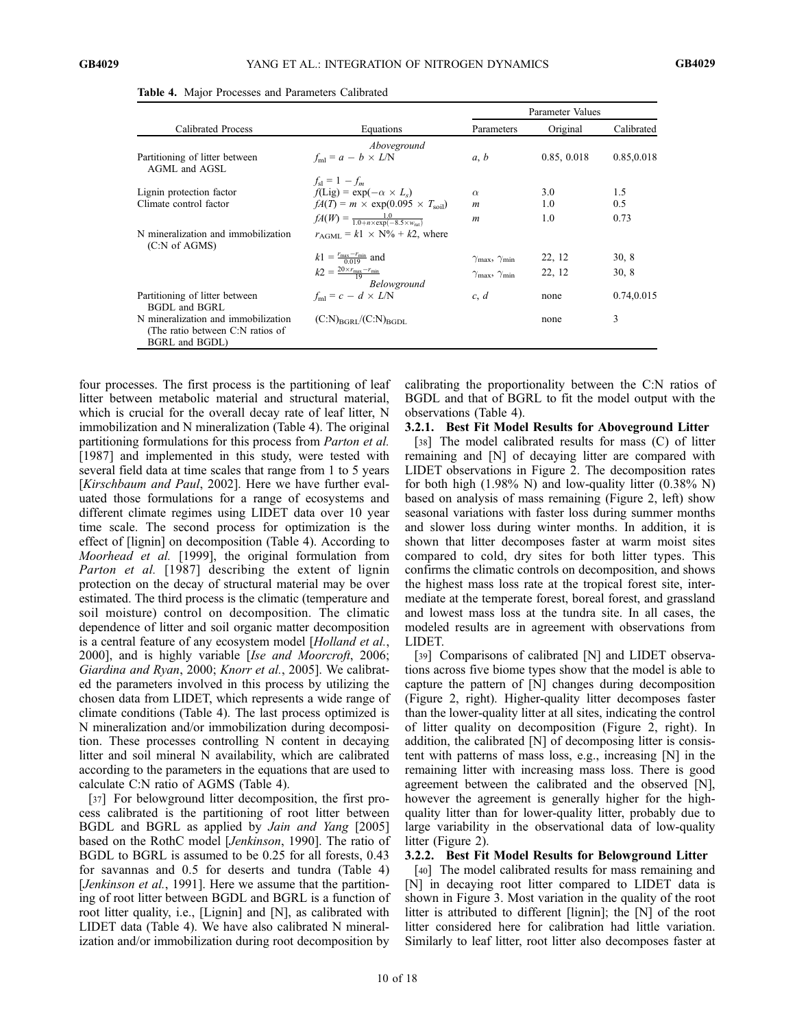|                                                                                           |                                                                                   | Parameter Values                     |             |            |
|-------------------------------------------------------------------------------------------|-----------------------------------------------------------------------------------|--------------------------------------|-------------|------------|
| Calibrated Process                                                                        | Equations                                                                         | Parameters                           | Original    | Calibrated |
|                                                                                           | Aboveground                                                                       |                                      |             |            |
| Partitioning of litter between<br>AGML and AGSL                                           | $f_{\text{ml}} = a - b \times L/N$                                                | a, b                                 | 0.85, 0.018 | 0.85,0.018 |
|                                                                                           | $f_{\rm sl} = 1 - f_m$                                                            |                                      |             |            |
| Lignin protection factor                                                                  | $f(Lig) = exp(-\alpha \times L_s)$                                                | $\alpha$                             | 3.0         | 1.5        |
| Climate control factor                                                                    | $fA(T) = m \times \exp(0.095 \times T_{\text{solid}})$                            | $\boldsymbol{m}$                     | 1.0         | 0.5        |
|                                                                                           | $fA(W) = \frac{1.0}{1.0 + n \times \exp(-8.5 \times w_{\text{rot}})}$             | $\boldsymbol{m}$                     | 1.0         | 0.73       |
| N mineralization and immobilization<br>(C:N of AGMS)                                      | $r_{\text{AGML}} = k1 \times N\% + k2$ , where                                    |                                      |             |            |
|                                                                                           | $k1 = \frac{r_{\text{max}} - r_{\text{min}}}{0.019}$ and                          | $\gamma_{\rm max}, \gamma_{\rm min}$ | 22, 12      | 30, 8      |
|                                                                                           | $k2 = \frac{20 \times r_{\text{max}} - r_{\text{min}}}{10}$<br><b>Belowground</b> | $\gamma_{\rm max}, \gamma_{\rm min}$ | 22, 12      | 30, 8      |
| Partitioning of litter between<br><b>BGDL</b> and <b>BGRL</b>                             | $f_{\text{ml}} = c - d \times L/N$                                                | c, d                                 | none        | 0.74,0.015 |
| N mineralization and immobilization<br>(The ratio between C:N ratios of<br>BGRL and BGDL) | $(C:N)_{BGRI}/(C:N)_{BGDI}$                                                       |                                      | none        | 3          |

Table 4. Major Processes and Parameters Calibrated

four processes. The first process is the partitioning of leaf litter between metabolic material and structural material, which is crucial for the overall decay rate of leaf litter, N immobilization and N mineralization (Table 4). The original partitioning formulations for this process from Parton et al. [1987] and implemented in this study, were tested with several field data at time scales that range from 1 to 5 years [Kirschbaum and Paul, 2002]. Here we have further evaluated those formulations for a range of ecosystems and different climate regimes using LIDET data over 10 year time scale. The second process for optimization is the effect of [lignin] on decomposition (Table 4). According to Moorhead et al. [1999], the original formulation from Parton et al. [1987] describing the extent of lignin protection on the decay of structural material may be over estimated. The third process is the climatic (temperature and soil moisture) control on decomposition. The climatic dependence of litter and soil organic matter decomposition is a central feature of any ecosystem model [Holland et al., 2000], and is highly variable [Ise and Moorcroft, 2006; Giardina and Ryan, 2000; Knorr et al., 2005]. We calibrated the parameters involved in this process by utilizing the chosen data from LIDET, which represents a wide range of climate conditions (Table 4). The last process optimized is N mineralization and/or immobilization during decomposition. These processes controlling N content in decaying litter and soil mineral N availability, which are calibrated according to the parameters in the equations that are used to calculate C:N ratio of AGMS (Table 4).

[37] For belowground litter decomposition, the first process calibrated is the partitioning of root litter between BGDL and BGRL as applied by Jain and Yang [2005] based on the RothC model [Jenkinson, 1990]. The ratio of BGDL to BGRL is assumed to be 0.25 for all forests, 0.43 for savannas and 0.5 for deserts and tundra (Table 4) [Jenkinson et al., 1991]. Here we assume that the partitioning of root litter between BGDL and BGRL is a function of root litter quality, i.e., [Lignin] and [N], as calibrated with LIDET data (Table 4). We have also calibrated N mineralization and/or immobilization during root decomposition by

calibrating the proportionality between the C:N ratios of BGDL and that of BGRL to fit the model output with the observations (Table 4).

### 3.2.1. Best Fit Model Results for Aboveground Litter

[38] The model calibrated results for mass (C) of litter remaining and [N] of decaying litter are compared with LIDET observations in Figure 2. The decomposition rates for both high  $(1.98\% N)$  and low-quality litter  $(0.38\% N)$ based on analysis of mass remaining (Figure 2, left) show seasonal variations with faster loss during summer months and slower loss during winter months. In addition, it is shown that litter decomposes faster at warm moist sites compared to cold, dry sites for both litter types. This confirms the climatic controls on decomposition, and shows the highest mass loss rate at the tropical forest site, intermediate at the temperate forest, boreal forest, and grassland and lowest mass loss at the tundra site. In all cases, the modeled results are in agreement with observations from LIDET.

[39] Comparisons of calibrated [N] and LIDET observations across five biome types show that the model is able to capture the pattern of [N] changes during decomposition (Figure 2, right). Higher-quality litter decomposes faster than the lower-quality litter at all sites, indicating the control of litter quality on decomposition (Figure 2, right). In addition, the calibrated [N] of decomposing litter is consistent with patterns of mass loss, e.g., increasing [N] in the remaining litter with increasing mass loss. There is good agreement between the calibrated and the observed [N], however the agreement is generally higher for the highquality litter than for lower-quality litter, probably due to large variability in the observational data of low-quality litter (Figure 2).

## 3.2.2. Best Fit Model Results for Belowground Litter

[40] The model calibrated results for mass remaining and [N] in decaying root litter compared to LIDET data is shown in Figure 3. Most variation in the quality of the root litter is attributed to different [lignin]; the [N] of the root litter considered here for calibration had little variation. Similarly to leaf litter, root litter also decomposes faster at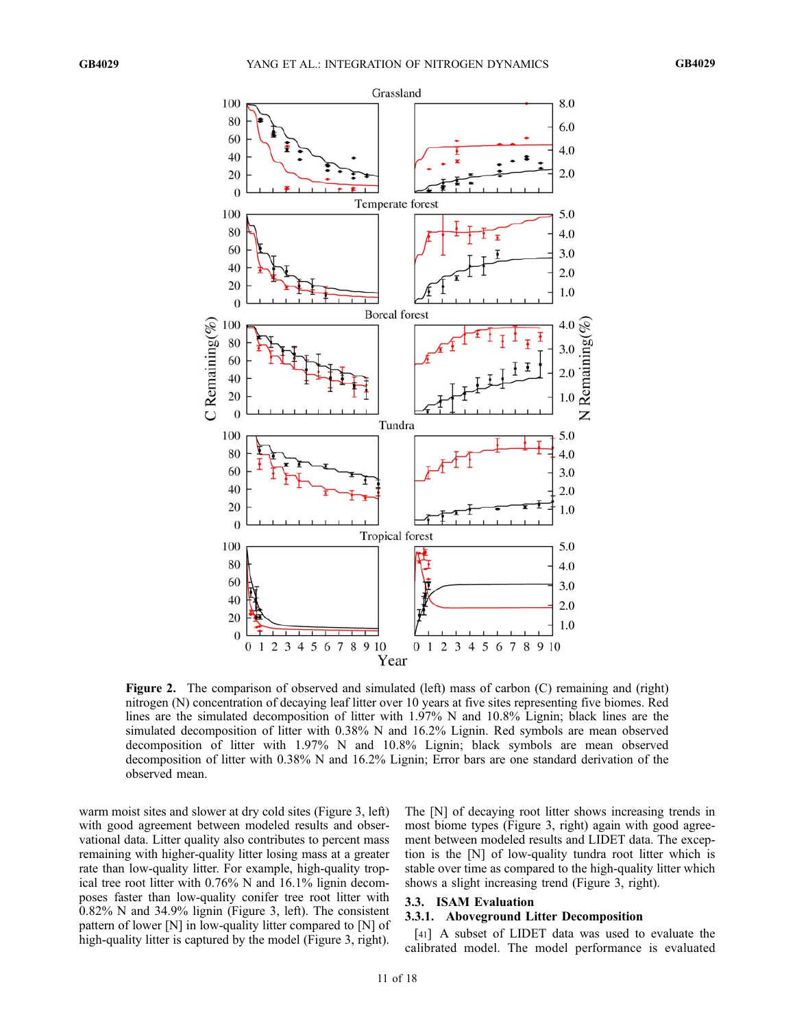

Figure 2. The comparison of observed and simulated (left) mass of carbon (C) remaining and (right) nitrogen (N) concentration of decaying leaf litter over 10 years at five sites representing five biomes. Red lines are the simulated decomposition of litter with 1.97% N and 10.8% Lignin; black lines are the simulated decomposition of litter with 0.38% N and 16.2% Lignin. Red symbols are mean observed decomposition of litter with 1.97% N and 10.8% Lignin; black symbols are mean observed decomposition of litter with 0.38% N and 16.2% Lignin; Error bars are one standard derivation of the observed mean.

warm moist sites and slower at dry cold sites (Figure 3, left) with good agreement between modeled results and observational data. Litter quality also contributes to percent mass remaining with higher-quality litter losing mass at a greater rate than low-quality litter. For example, high-quality tropical tree root litter with 0.76% N and 16.1% lignin decomposes faster than low-quality conifer tree root litter with 0.82% N and 34.9% lignin (Figure 3, left). The consistent pattern of lower [N] in low-quality litter compared to [N] of high-quality litter is captured by the model (Figure 3, right).

The [N] of decaying root litter shows increasing trends in most biome types (Figure 3, right) again with good agreement between modeled results and LIDET data. The exception is the [N] of low-quality tundra root litter which is stable over time as compared to the high-quality litter which shows a slight increasing trend (Figure 3, right).

# 3.3. ISAM Evaluation

### 3.3.1. Aboveground Litter Decomposition

[41] A subset of LIDET data was used to evaluate the calibrated model. The model performance is evaluated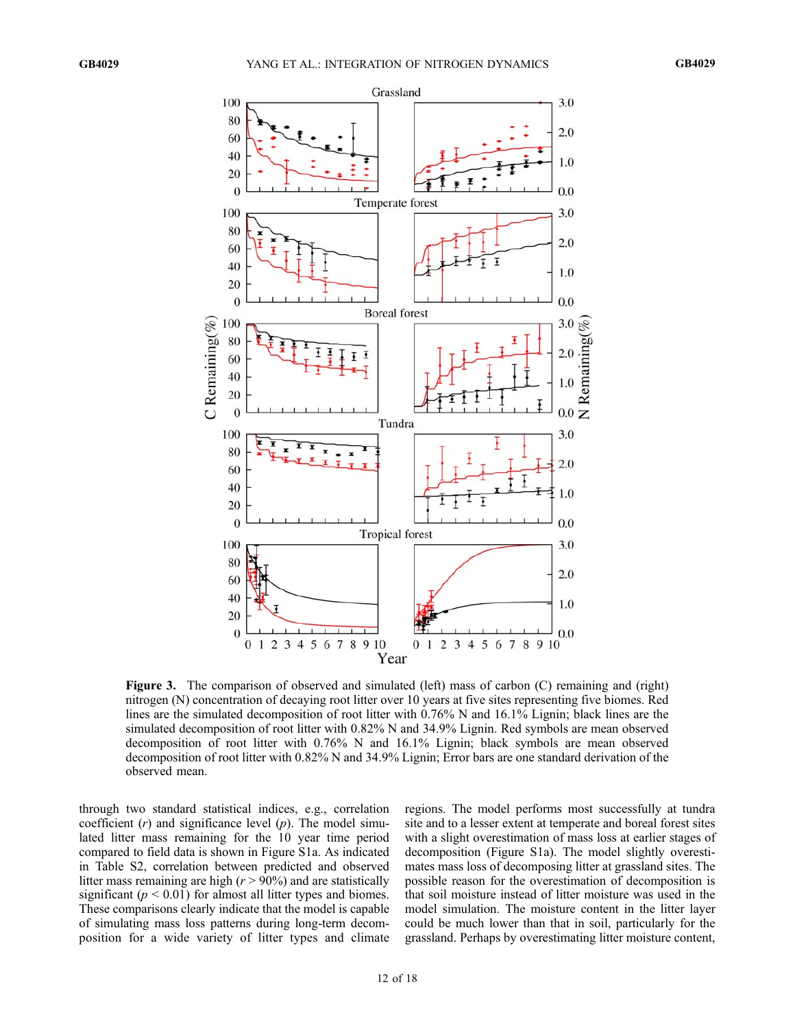

Figure 3. The comparison of observed and simulated (left) mass of carbon (C) remaining and (right) nitrogen (N) concentration of decaying root litter over 10 years at five sites representing five biomes. Red lines are the simulated decomposition of root litter with 0.76% N and 16.1% Lignin; black lines are the simulated decomposition of root litter with 0.82% N and 34.9% Lignin. Red symbols are mean observed decomposition of root litter with 0.76% N and 16.1% Lignin; black symbols are mean observed decomposition of root litter with 0.82% N and 34.9% Lignin; Error bars are one standard derivation of the observed mean.

through two standard statistical indices, e.g., correlation coefficient  $(r)$  and significance level  $(p)$ . The model simulated litter mass remaining for the 10 year time period compared to field data is shown in Figure S1a. As indicated in Table S2, correlation between predicted and observed litter mass remaining are high  $(r > 90\%)$  and are statistically significant ( $p < 0.01$ ) for almost all litter types and biomes. These comparisons clearly indicate that the model is capable of simulating mass loss patterns during long-term decomposition for a wide variety of litter types and climate regions. The model performs most successfully at tundra site and to a lesser extent at temperate and boreal forest sites with a slight overestimation of mass loss at earlier stages of decomposition (Figure S1a). The model slightly overestimates mass loss of decomposing litter at grassland sites. The possible reason for the overestimation of decomposition is that soil moisture instead of litter moisture was used in the model simulation. The moisture content in the litter layer could be much lower than that in soil, particularly for the grassland. Perhaps by overestimating litter moisture content,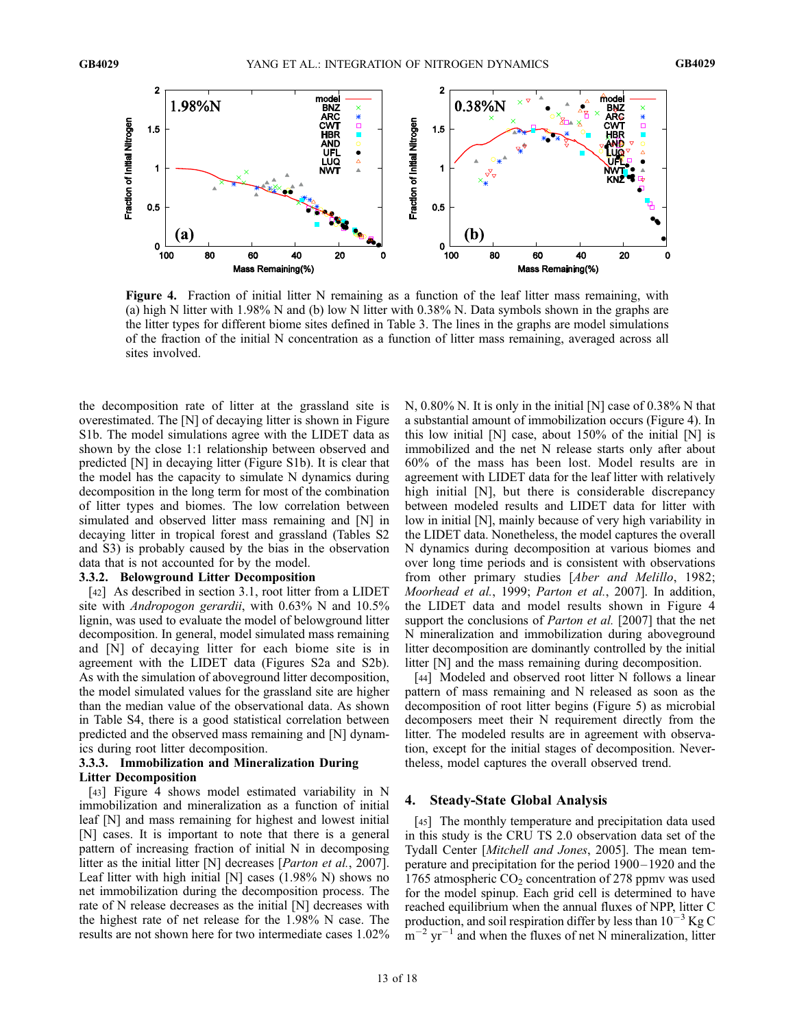

Figure 4. Fraction of initial litter N remaining as a function of the leaf litter mass remaining, with (a) high N litter with 1.98% N and (b) low N litter with 0.38% N. Data symbols shown in the graphs are the litter types for different biome sites defined in Table 3. The lines in the graphs are model simulations of the fraction of the initial N concentration as a function of litter mass remaining, averaged across all sites involved.

the decomposition rate of litter at the grassland site is overestimated. The [N] of decaying litter is shown in Figure S1b. The model simulations agree with the LIDET data as shown by the close 1:1 relationship between observed and predicted [N] in decaying litter (Figure S1b). It is clear that the model has the capacity to simulate N dynamics during decomposition in the long term for most of the combination of litter types and biomes. The low correlation between simulated and observed litter mass remaining and [N] in decaying litter in tropical forest and grassland (Tables S2 and S3) is probably caused by the bias in the observation data that is not accounted for by the model.

### 3.3.2. Belowground Litter Decomposition

[42] As described in section 3.1, root litter from a LIDET site with *Andropogon gerardii*, with 0.63% N and 10.5% lignin, was used to evaluate the model of belowground litter decomposition. In general, model simulated mass remaining and [N] of decaying litter for each biome site is in agreement with the LIDET data (Figures S2a and S2b). As with the simulation of aboveground litter decomposition, the model simulated values for the grassland site are higher than the median value of the observational data. As shown in Table S4, there is a good statistical correlation between predicted and the observed mass remaining and [N] dynamics during root litter decomposition.

### 3.3.3. Immobilization and Mineralization During Litter Decomposition

[43] Figure 4 shows model estimated variability in N immobilization and mineralization as a function of initial leaf [N] and mass remaining for highest and lowest initial [N] cases. It is important to note that there is a general pattern of increasing fraction of initial N in decomposing litter as the initial litter [N] decreases [Parton et al., 2007]. Leaf litter with high initial [N] cases (1.98% N) shows no net immobilization during the decomposition process. The rate of N release decreases as the initial [N] decreases with the highest rate of net release for the 1.98% N case. The results are not shown here for two intermediate cases 1.02%

N, 0.80% N. It is only in the initial [N] case of 0.38% N that a substantial amount of immobilization occurs (Figure 4). In this low initial  $[N]$  case, about 150% of the initial  $[N]$  is immobilized and the net N release starts only after about 60% of the mass has been lost. Model results are in agreement with LIDET data for the leaf litter with relatively high initial [N], but there is considerable discrepancy between modeled results and LIDET data for litter with low in initial [N], mainly because of very high variability in the LIDET data. Nonetheless, the model captures the overall N dynamics during decomposition at various biomes and over long time periods and is consistent with observations from other primary studies [Aber and Melillo, 1982; Moorhead et al., 1999; Parton et al., 2007]. In addition, the LIDET data and model results shown in Figure 4 support the conclusions of *Parton et al.* [2007] that the net N mineralization and immobilization during aboveground litter decomposition are dominantly controlled by the initial litter [N] and the mass remaining during decomposition.

[44] Modeled and observed root litter N follows a linear pattern of mass remaining and N released as soon as the decomposition of root litter begins (Figure 5) as microbial decomposers meet their N requirement directly from the litter. The modeled results are in agreement with observation, except for the initial stages of decomposition. Nevertheless, model captures the overall observed trend.

### 4. Steady-State Global Analysis

[45] The monthly temperature and precipitation data used in this study is the CRU TS 2.0 observation data set of the Tydall Center [Mitchell and Jones, 2005]. The mean temperature and precipitation for the period 1900 – 1920 and the 1765 atmospheric  $CO_2$  concentration of 278 ppmv was used for the model spinup. Each grid cell is determined to have reached equilibrium when the annual fluxes of NPP, litter C production, and soil respiration differ by less than  $10^{-3}$  Kg C  $\rm{m}^{-2}$  yr<sup>-1</sup> and when the fluxes of net N mineralization, litter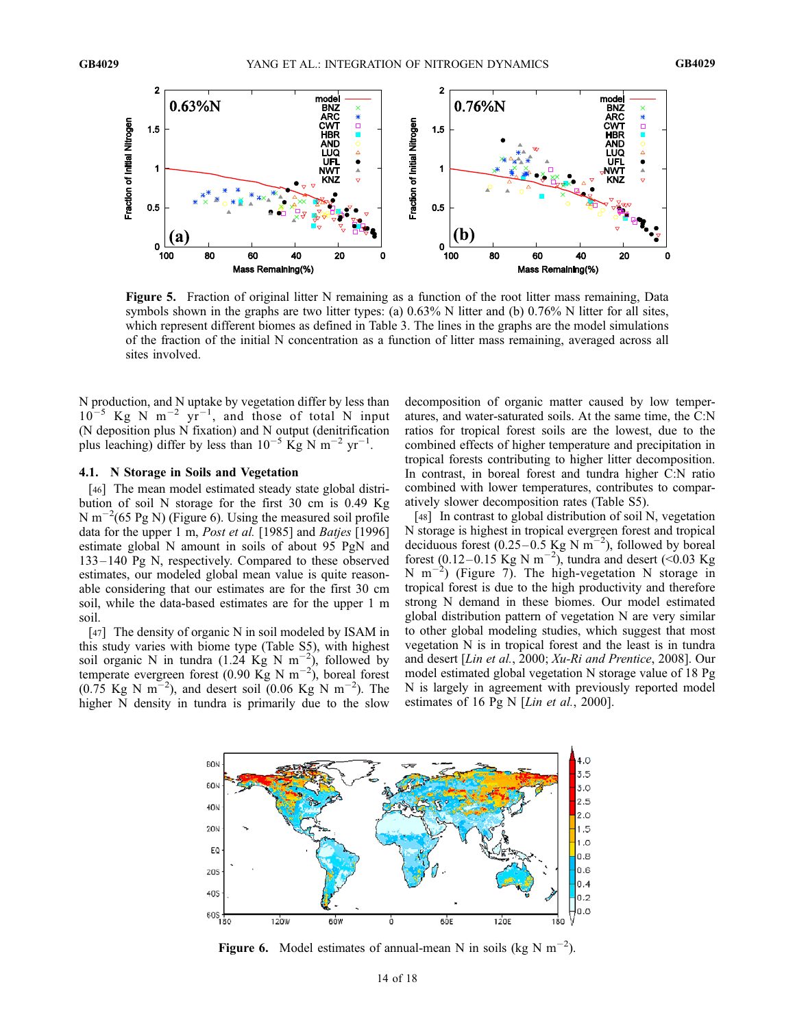

Figure 5. Fraction of original litter N remaining as a function of the root litter mass remaining, Data symbols shown in the graphs are two litter types: (a)  $0.63\%$  N litter and (b)  $0.76\%$  N litter for all sites, which represent different biomes as defined in Table 3. The lines in the graphs are the model simulations of the fraction of the initial N concentration as a function of litter mass remaining, averaged across all sites involved.

N production, and N uptake by vegetation differ by less than  $10^{-5}$  Kg N m<sup>-2</sup> yr<sup>-1</sup>, and those of total N input (N deposition plus N fixation) and N output (denitrification plus leaching) differ by less than  $10^{-5}$  Kg N m<sup>-2</sup> yr<sup>-1</sup>.

### 4.1. N Storage in Soils and Vegetation

[46] The mean model estimated steady state global distribution of soil N storage for the first 30 cm is 0.49 Kg N m<sup> $-2$ </sup>(65 Pg N) (Figure 6). Using the measured soil profile data for the upper 1 m, Post et al. [1985] and Batjes [1996] estimate global N amount in soils of about 95 PgN and 133 – 140 Pg N, respectively. Compared to these observed estimates, our modeled global mean value is quite reasonable considering that our estimates are for the first 30 cm soil, while the data-based estimates are for the upper 1 m soil.

[47] The density of organic N in soil modeled by ISAM in this study varies with biome type (Table S5), with highest soil organic N in tundra  $(1.24 \text{ kg N m}^{-2})$ , followed by temperate evergreen forest (0.90 Kg N m<sup>-2</sup>), boreal forest  $(0.75 \text{ Kg N m}^{-2})$ , and desert soil  $(0.06 \text{ Kg N m}^{-2})$ . The higher N density in tundra is primarily due to the slow

decomposition of organic matter caused by low temperatures, and water-saturated soils. At the same time, the C:N ratios for tropical forest soils are the lowest, due to the combined effects of higher temperature and precipitation in tropical forests contributing to higher litter decomposition. In contrast, in boreal forest and tundra higher C:N ratio combined with lower temperatures, contributes to comparatively slower decomposition rates (Table S5).

[48] In contrast to global distribution of soil N, vegetation N storage is highest in tropical evergreen forest and tropical deciduous forest (0.25–0.5 Kg N  $\text{m}^{-2}$ ), followed by boreal forest (0.12–0.15 Kg N m<sup>-2</sup>), tundra and desert (<0.03 Kg N m<sup>-2</sup>) (Figure 7). The high-vegetation N storage in tropical forest is due to the high productivity and therefore strong N demand in these biomes. Our model estimated global distribution pattern of vegetation N are very similar to other global modeling studies, which suggest that most vegetation N is in tropical forest and the least is in tundra and desert [Lin et al., 2000; Xu-Ri and Prentice, 2008]. Our model estimated global vegetation N storage value of 18 Pg N is largely in agreement with previously reported model estimates of 16 Pg N [Lin et al., 2000].



Figure 6. Model estimates of annual-mean N in soils (kg N  $m^{-2}$ ).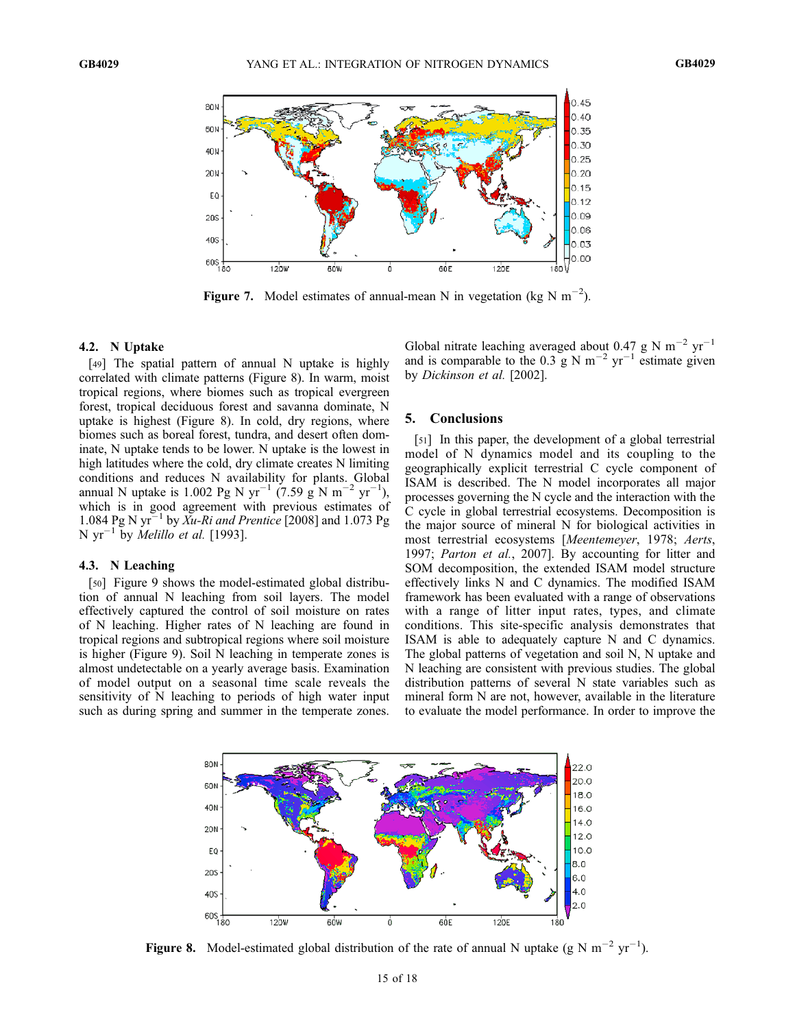

Figure 7. Model estimates of annual-mean N in vegetation (kg N  $m^{-2}$ ).

### 4.2. N Uptake

[49] The spatial pattern of annual N uptake is highly correlated with climate patterns (Figure 8). In warm, moist tropical regions, where biomes such as tropical evergreen forest, tropical deciduous forest and savanna dominate, N uptake is highest (Figure 8). In cold, dry regions, where biomes such as boreal forest, tundra, and desert often dominate, N uptake tends to be lower. N uptake is the lowest in high latitudes where the cold, dry climate creates N limiting conditions and reduces N availability for plants. Global annual N uptake is 1.002 Pg N yr<sup>-1</sup> (7.59 g N m<sup>-2</sup> yr<sup>-1</sup>), which is in good agreement with previous estimates of 1.084 Pg N yr<sup>-1</sup> by Xu-Ri and Prentice [2008] and 1.073 Pg N  $yr^{-1}$  by *Melillo et al.* [1993].

## 4.3. N Leaching

[50] Figure 9 shows the model-estimated global distribution of annual N leaching from soil layers. The model effectively captured the control of soil moisture on rates of N leaching. Higher rates of N leaching are found in tropical regions and subtropical regions where soil moisture is higher (Figure 9). Soil N leaching in temperate zones is almost undetectable on a yearly average basis. Examination of model output on a seasonal time scale reveals the sensitivity of N leaching to periods of high water input such as during spring and summer in the temperate zones.

Global nitrate leaching averaged about 0.47 g N  $\text{m}^{-2}$  yr<sup>-1</sup> and is comparable to the 0.3 g N m<sup>-2</sup> yr<sup>-1</sup> estimate given by Dickinson et al. [2002].

# 5. Conclusions

[51] In this paper, the development of a global terrestrial model of N dynamics model and its coupling to the geographically explicit terrestrial C cycle component of ISAM is described. The N model incorporates all major processes governing the N cycle and the interaction with the C cycle in global terrestrial ecosystems. Decomposition is the major source of mineral N for biological activities in most terrestrial ecosystems [Meentemeyer, 1978; Aerts, 1997; Parton et al., 2007]. By accounting for litter and SOM decomposition, the extended ISAM model structure effectively links N and C dynamics. The modified ISAM framework has been evaluated with a range of observations with a range of litter input rates, types, and climate conditions. This site-specific analysis demonstrates that ISAM is able to adequately capture N and C dynamics. The global patterns of vegetation and soil N, N uptake and N leaching are consistent with previous studies. The global distribution patterns of several N state variables such as mineral form N are not, however, available in the literature to evaluate the model performance. In order to improve the



Figure 8. Model-estimated global distribution of the rate of annual N uptake (g N m<sup>-2</sup> yr<sup>-1</sup>).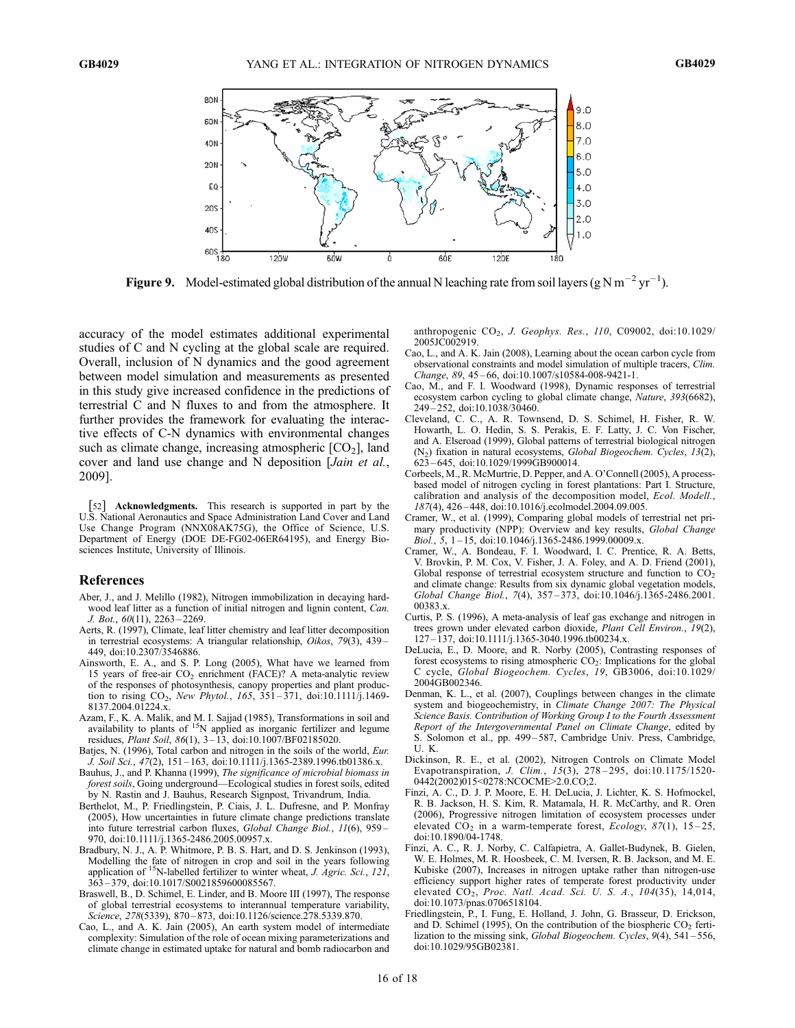

**Figure 9.** Model-estimated global distribution of the annual N leaching rate from soil layers (g N m<sup>-2</sup> yr<sup>-1</sup>).

accuracy of the model estimates additional experimental studies of C and N cycling at the global scale are required. Overall, inclusion of N dynamics and the good agreement between model simulation and measurements as presented in this study give increased confidence in the predictions of terrestrial C and N fluxes to and from the atmosphere. It further provides the framework for evaluating the interactive effects of C-N dynamics with environmental changes such as climate change, increasing atmospheric  $[CO<sub>2</sub>]$ , land cover and land use change and N deposition [Jain et al., 2009].

[52] Acknowledgments. This research is supported in part by the U.S. National Aeronautics and Space Administration Land Cover and Land Use Change Program (NNX08AK75G), the Office of Science, U.S. Department of Energy (DOE DE-FG02-06ER64195), and Energy Biosciences Institute, University of Illinois.

### References

- Aber, J., and J. Melillo (1982), Nitrogen immobilization in decaying hardwood leaf litter as a function of initial nitrogen and lignin content, Can. J. Bot., 60(11), 2263 – 2269.
- Aerts, R. (1997), Climate, leaf litter chemistry and leaf litter decomposition in terrestrial ecosystems: A triangular relationship, Oikos, 79(3), 439 – 449, doi:10.2307/3546886.
- Ainsworth, E. A., and S. P. Long (2005), What have we learned from 15 years of free-air  $CO<sub>2</sub>$  enrichment (FACE)? A meta-analytic review of the responses of photosynthesis, canopy properties and plant production to rising  $CO_2$ , New Phytol., 165, 351-371, doi:10.1111/j.1469-8137.2004.01224.x.
- Azam, F., K. A. Malik, and M. I. Sajjad (1985), Transformations in soil and availability to plants of  $15N$  applied as inorganic fertilizer and legume residues, *Plant Soil*, 86(1), 3-13, doi:10.1007/BF02185020.
- Batjes, N. (1996), Total carbon and nitrogen in the soils of the world, Eur. J. Soil Sci., 47(2), 151 – 163, doi:10.1111/j.1365-2389.1996.tb01386.x.
- Bauhus, J., and P. Khanna (1999), The significance of microbial biomass in forest soils, Going underground—Ecological studies in forest soils, edited by N. Rastin and J. Bauhus, Research Signpost, Trivandrum, India.
- Berthelot, M., P. Friedlingstein, P. Ciais, J. L. Dufresne, and P. Monfray (2005), How uncertainties in future climate change predictions translate into future terrestrial carbon fluxes, Global Change Biol., 11(6), 959 – 970, doi:10.1111/j.1365-2486.2005.00957.x.
- Bradbury, N. J., A. P. Whitmore, P. B. S. Hart, and D. S. Jenkinson (1993), Modelling the fate of nitrogen in crop and soil in the years following application of <sup>15</sup>N-labelled fertilizer to winter wheat, *J. Agric. Sci.*, 121, 363 – 379, doi:10.1017/S0021859600085567.
- Braswell, B., D. Schimel, E. Linder, and B. Moore III (1997), The response of global terrestrial ecosystems to interannual temperature variability, Science, 278(5339), 870-873, doi:10.1126/science.278.5339.870.
- Cao, L., and A. K. Jain (2005), An earth system model of intermediate complexity: Simulation of the role of ocean mixing parameterizations and climate change in estimated uptake for natural and bomb radiocarbon and

anthropogenic CO<sub>2</sub>, J. Geophys. Res., 110, C09002, doi:10.1029/ 2005JC002919.

- Cao, L., and A. K. Jain (2008), Learning about the ocean carbon cycle from observational constraints and model simulation of multiple tracers, Clim. Change, 89, 45 – 66, doi:10.1007/s10584-008-9421-1.
- Cao, M., and F. I. Woodward (1998), Dynamic responses of terrestrial ecosystem carbon cycling to global climate change, Nature, 393(6682), 249 – 252, doi:10.1038/30460.
- Cleveland, C. C., A. R. Townsend, D. S. Schimel, H. Fisher, R. W. Howarth, L. O. Hedin, S. S. Perakis, E. F. Latty, J. C. Von Fischer, and A. Elseroad (1999), Global patterns of terrestrial biological nitrogen (N2) fixation in natural ecosystems, Global Biogeochem. Cycles, 13(2),  $623 - 645$ , doi:10.1029/1999GB900014.
- Corbeels, M., R. McMurtrie, D. Pepper, and A. O'Connell (2005), A processbased model of nitrogen cycling in forest plantations: Part I. Structure, calibration and analysis of the decomposition model, Ecol. Modell., 187(4), 426 – 448, doi:10.1016/j.ecolmodel.2004.09.005.
- Cramer, W., et al. (1999), Comparing global models of terrestrial net primary productivity (NPP): Overview and key results, Global Change Biol., 5, 1 – 15, doi:10.1046/j.1365-2486.1999.00009.x.
- Cramer, W., A. Bondeau, F. I. Woodward, I. C. Prentice, R. A. Betts, V. Brovkin, P. M. Cox, V. Fisher, J. A. Foley, and A. D. Friend (2001), Global response of terrestrial ecosystem structure and function to  $CO<sub>2</sub>$ and climate change: Results from six dynamic global vegetation models, Global Change Biol., 7(4), 357 – 373, doi:10.1046/j.1365-2486.2001. 00383.x.
- Curtis, P. S. (1996), A meta-analysis of leaf gas exchange and nitrogen in trees grown under elevated carbon dioxide, Plant Cell Environ., 19(2), 127 – 137, doi:10.1111/j.1365-3040.1996.tb00234.x.
- DeLucia, E., D. Moore, and R. Norby (2005), Contrasting responses of forest ecosystems to rising atmospheric  $CO<sub>2</sub>$ : Implications for the global C cycle, Global Biogeochem. Cycles, 19, GB3006, doi:10.1029/ 2004GB002346.
- Denman, K. L., et al. (2007), Couplings between changes in the climate system and biogeochemistry, in Climate Change 2007: The Physical Science Basis. Contribution of Working Group I to the Fourth Assessment Report of the Intergovernmental Panel on Climate Change, edited by S. Solomon et al., pp. 499 – 587, Cambridge Univ. Press, Cambridge, U. K.
- Dickinson, R. E., et al. (2002), Nitrogen Controls on Climate Model Evapotranspiration, *J. Clim.*, 15(3), 278-295, doi:10.1175/1520-0442(2002)015<0278:NCOCME>2.0.CO;2.
- Finzi, A. C., D. J. P. Moore, E. H. DeLucia, J. Lichter, K. S. Hofmockel, R. B. Jackson, H. S. Kim, R. Matamala, H. R. McCarthy, and R. Oren (2006), Progressive nitrogen limitation of ecosystem processes under elevated  $\overline{CO}_2$  in a warm-temperate forest, *Ecology*,  $87(1)$ ,  $15-25$ , doi:10.1890/04-1748.
- Finzi, A. C., R. J. Norby, C. Calfapietra, A. Gallet-Budynek, B. Gielen, W. E. Holmes, M. R. Hoosbeek, C. M. Iversen, R. B. Jackson, and M. E. Kubiske (2007), Increases in nitrogen uptake rather than nitrogen-use efficiency support higher rates of temperate forest productivity under elevated CO<sub>2</sub>, Proc. Natl. Acad. Sci. U. S. A., 104(35), 14,014, doi:10.1073/pnas.0706518104.
- Friedlingstein, P., I. Fung, E. Holland, J. John, G. Brasseur, D. Erickson, and D. Schimel (1995), On the contribution of the biospheric  $CO<sub>2</sub>$  fertilization to the missing sink, Global Biogeochem. Cycles, 9(4), 541-556, doi:10.1029/95GB02381.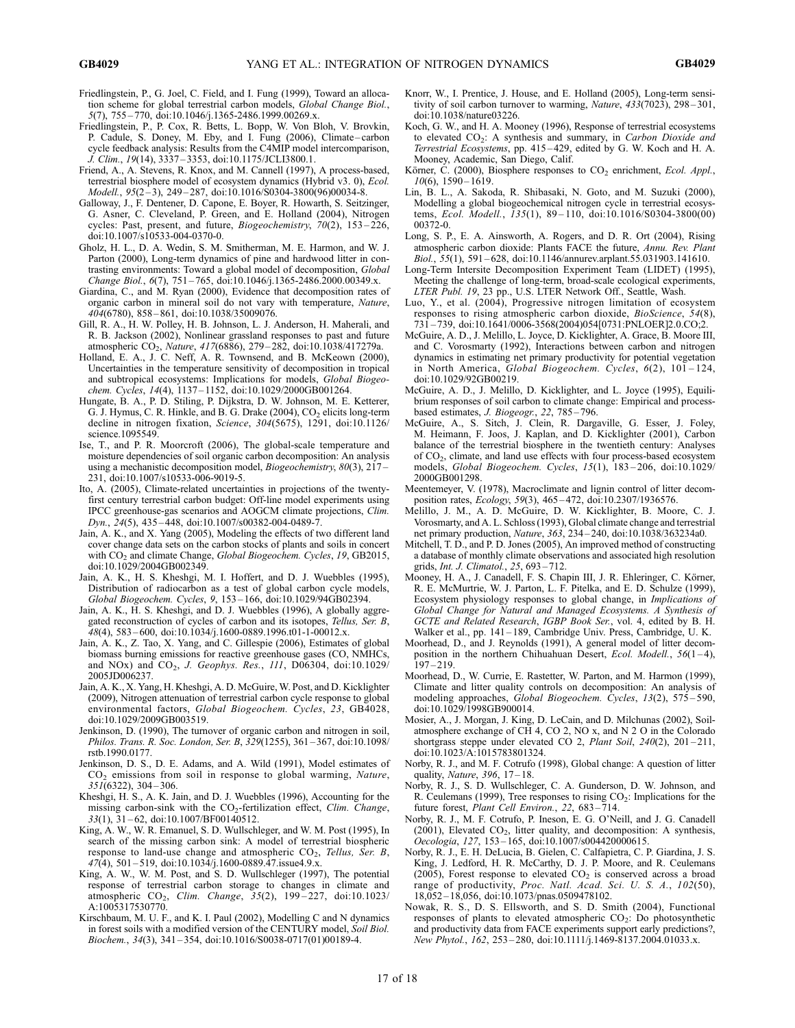- Friedlingstein, P., G. Joel, C. Field, and I. Fung (1999), Toward an allocation scheme for global terrestrial carbon models, Global Change Biol., 5(7), 755 – 770, doi:10.1046/j.1365-2486.1999.00269.x.
- Friedlingstein, P., P. Cox, R. Betts, L. Bopp, W. Von Bloh, V. Brovkin, P. Cadule, S. Doney, M. Eby, and I. Fung (2006), Climate – carbon cycle feedback analysis: Results from the C4MIP model intercomparison, J. Clim., 19(14), 3337 – 3353, doi:10.1175/JCLI3800.1.
- Friend, A., A. Stevens, R. Knox, and M. Cannell (1997), A process-based, terrestrial biosphere model of ecosystem dynamics (Hybrid v3. 0), Ecol. Modell., 95(2 – 3), 249 – 287, doi:10.1016/S0304-3800(96)00034-8.
- Galloway, J., F. Dentener, D. Capone, E. Boyer, R. Howarth, S. Seitzinger, G. Asner, C. Cleveland, P. Green, and E. Holland (2004), Nitrogen cycles: Past, present, and future, *Biogeochemistry*, 70(2), 153-226, doi:10.1007/s10533-004-0370-0.
- Gholz, H. L., D. A. Wedin, S. M. Smitherman, M. E. Harmon, and W. J. Parton (2000), Long-term dynamics of pine and hardwood litter in contrasting environments: Toward a global model of decomposition, Global Change Biol., 6(7), 751 – 765, doi:10.1046/j.1365-2486.2000.00349.x.
- Giardina, C., and M. Ryan (2000), Evidence that decomposition rates of organic carbon in mineral soil do not vary with temperature, Nature, 404(6780), 858 – 861, doi:10.1038/35009076.
- Gill, R. A., H. W. Polley, H. B. Johnson, L. J. Anderson, H. Maherali, and R. B. Jackson (2002), Nonlinear grassland responses to past and future atmospheric CO<sub>2</sub>, Nature, 417(6886), 279-282, doi:10.1038/417279a.
- Holland, E. A., J. C. Neff, A. R. Townsend, and B. McKeown (2000), Uncertainties in the temperature sensitivity of decomposition in tropical and subtropical ecosystems: Implications for models, Global Biogeochem. Cycles, 14(4), 1137 – 1152, doi:10.1029/2000GB001264.
- Hungate, B. A., P. D. Stiling, P. Dijkstra, D. W. Johnson, M. E. Ketterer, G. J. Hymus, C. R. Hinkle, and B. G. Drake  $(2004)$ ,  $CO<sub>2</sub>$  elicits long-term decline in nitrogen fixation, Science, 304(5675), 1291, doi:10.1126/ science.1095549.
- Ise, T., and P. R. Moorcroft (2006), The global-scale temperature and moisture dependencies of soil organic carbon decomposition: An analysis using a mechanistic decomposition model, Biogeochemistry, 80(3), 217-231, doi:10.1007/s10533-006-9019-5.
- Ito, A. (2005), Climate-related uncertainties in projections of the twentyfirst century terrestrial carbon budget: Off-line model experiments using IPCC greenhouse-gas scenarios and AOGCM climate projections, Clim. Dyn., 24(5), 435 – 448, doi:10.1007/s00382-004-0489-7.
- Jain, A. K., and X. Yang (2005), Modeling the effects of two different land cover change data sets on the carbon stocks of plants and soils in concert with CO<sub>2</sub> and climate Change, Global Biogeochem. Cycles, 19, GB2015, doi:10.1029/2004GB002349.
- Jain, A. K., H. S. Kheshgi, M. I. Hoffert, and D. J. Wuebbles (1995), Distribution of radiocarbon as a test of global carbon cycle models, Global Biogeochem. Cycles, 9, 153 – 166, doi:10.1029/94GB02394.
- Jain, A. K., H. S. Kheshgi, and D. J. Wuebbles (1996), A globally aggregated reconstruction of cycles of carbon and its isotopes, Tellus, Ser. B, 48(4), 583 – 600, doi:10.1034/j.1600-0889.1996.t01-1-00012.x.
- Jain, A. K., Z. Tao, X. Yang, and C. Gillespie (2006), Estimates of global biomass burning emissions for reactive greenhouse gases (CO, NMHCs, and NOx) and CO<sub>2</sub>, J. Geophys. Res., 111, D06304, doi:10.1029/ 2005JD006237.
- Jain, A. K., X. Yang, H. Kheshgi, A. D. McGuire, W. Post, and D. Kicklighter (2009), Nitrogen attenuation of terrestrial carbon cycle response to global environmental factors, Global Biogeochem. Cycles, 23, GB4028, doi:10.1029/2009GB003519.
- Jenkinson, D. (1990), The turnover of organic carbon and nitrogen in soil, Philos. Trans. R. Soc. London, Ser. B, 329(1255), 361 – 367, doi:10.1098/ rstb.1990.0177.
- Jenkinson, D. S., D. E. Adams, and A. Wild (1991), Model estimates of  $CO<sub>2</sub>$  emissions from soil in response to global warming, Nature, 351(6322), 304 – 306.
- Kheshgi, H. S., A. K. Jain, and D. J. Wuebbles (1996), Accounting for the missing carbon-sink with the  $CO_2$ -fertilization effect, Clim. Change,  $33(1)$ ,  $31-62$ , doi:10.1007/BF00140512.
- King, A. W., W. R. Emanuel, S. D. Wullschleger, and W. M. Post (1995), In search of the missing carbon sink: A model of terrestrial biospheric response to land-use change and atmospheric  $CO<sub>2</sub>$ , Tellus, Ser. B,  $47(4)$ , 501-519, doi:10.1034/j.1600-0889.47.issue4.9.x.
- King, A. W., W. M. Post, and S. D. Wullschleger (1997), The potential response of terrestrial carbon storage to changes in climate and atmospheric CO<sub>2</sub>, Clim. Change, 35(2), 199-227, doi:10.1023/ A:1005317530770.
- Kirschbaum, M. U. F., and K. I. Paul (2002), Modelling C and N dynamics in forest soils with a modified version of the CENTURY model, Soil Biol. Biochem., 34(3), 341 – 354, doi:10.1016/S0038-0717(01)00189-4.
- Knorr, W., I. Prentice, J. House, and E. Holland (2005), Long-term sensitivity of soil carbon turnover to warming, Nature, 433(7023), 298-301, doi:10.1038/nature03226.
- Koch, G. W., and H. A. Mooney (1996), Response of terrestrial ecosystems to elevated  $CO<sub>2</sub>$ : A synthesis and summary, in Carbon Dioxide and Terrestrial Ecosystems, pp. 415 – 429, edited by G. W. Koch and H. A. Mooney, Academic, San Diego, Calif.
- Körner, C. (2000), Biosphere responses to  $CO<sub>2</sub>$  enrichment, Ecol. Appl.,  $10(6)$ ,  $1590 - 1619$ .
- Lin, B. L., A. Sakoda, R. Shibasaki, N. Goto, and M. Suzuki (2000), Modelling a global biogeochemical nitrogen cycle in terrestrial ecosystems, Ecol. Modell., 135(1), 89 – 110, doi:10.1016/S0304-3800(00) 00372-0.
- Long, S. P., E. A. Ainsworth, A. Rogers, and D. R. Ort (2004), Rising atmospheric carbon dioxide: Plants FACE the future, Annu. Rev. Plant Biol., 55(1), 591 – 628, doi:10.1146/annurev.arplant.55.031903.141610.
- Long-Term Intersite Decomposition Experiment Team (LIDET) (1995), Meeting the challenge of long-term, broad-scale ecological experiments, LTER Publ. 19, 23 pp., U.S. LTER Network Off., Seattle, Wash.
- Luo, Y., et al. (2004), Progressive nitrogen limitation of ecosystem responses to rising atmospheric carbon dioxide, BioScience, 54(8), 731 – 739, doi:10.1641/0006-3568(2004)054[0731:PNLOER]2.0.CO;2.
- McGuire, A. D., J. Melillo, L. Joyce, D. Kicklighter, A. Grace, B. Moore III, and C. Vorosmarty (1992), Interactions between carbon and nitrogen dynamics in estimating net primary productivity for potential vegetation in North America, Global Biogeochem. Cycles, 6(2), 101 – 124, doi:10.1029/92GB00219.
- McGuire, A. D., J. Melillo, D. Kicklighter, and L. Joyce (1995), Equilibrium responses of soil carbon to climate change: Empirical and processbased estimates, J. Biogeogr., 22, 785 – 796.
- McGuire, A., S. Sitch, J. Clein, R. Dargaville, G. Esser, J. Foley, M. Heimann, F. Joos, J. Kaplan, and D. Kicklighter (2001), Carbon balance of the terrestrial biosphere in the twentieth century: Analyses of CO2, climate, and land use effects with four process-based ecosystem models, Global Biogeochem. Cycles, 15(1), 183 – 206, doi:10.1029/ 2000GB001298.
- Meentemeyer, V. (1978), Macroclimate and lignin control of litter decomposition rates, Ecology, 59(3), 465 – 472, doi:10.2307/1936576.
- Melillo, J. M., A. D. McGuire, D. W. Kicklighter, B. Moore, C. J. Vorosmarty, and A. L. Schloss (1993), Global climate change and terrestrial net primary production, Nature, 363, 234 – 240, doi:10.1038/363234a0.
- Mitchell, T. D., and P. D. Jones (2005), An improved method of constructing a database of monthly climate observations and associated high resolution grids, Int. J. Climatol., 25, 693 – 712.
- Mooney, H. A., J. Canadell, F. S. Chapin III, J. R. Ehleringer, C. Körner, R. E. McMurtrie, W. J. Parton, L. F. Pitelka, and E. D. Schulze (1999), Ecosystem physiology responses to global change, in Implications of Global Change for Natural and Managed Ecosystems. A Synthesis of GCTE and Related Research, IGBP Book Ser., vol. 4, edited by B. H. Walker et al., pp. 141-189, Cambridge Univ. Press, Cambridge, U. K.
- Moorhead, D., and J. Reynolds (1991), A general model of litter decomposition in the northern Chihuahuan Desert, Ecol. Modell.,  $56(1-4)$ ,  $197 - 219.$
- Moorhead, D., W. Currie, E. Rastetter, W. Parton, and M. Harmon (1999), Climate and litter quality controls on decomposition: An analysis of modeling approaches, Global Biogeochem. Cycles, 13(2), 575-590, doi:10.1029/1998GB900014.
- Mosier, A., J. Morgan, J. King, D. LeCain, and D. Milchunas (2002), Soilatmosphere exchange of CH 4, CO 2, NO x, and N 2 O in the Colorado shortgrass steppe under elevated CO 2, Plant Soil, 240(2), 201-211, doi:10.1023/A:1015783801324.
- Norby, R. J., and M. F. Cotrufo (1998), Global change: A question of litter quality, Nature, 396, 17 – 18.
- Norby, R. J., S. D. Wullschleger, C. A. Gunderson, D. W. Johnson, and R. Ceulemans (1999), Tree responses to rising CO<sub>2</sub>: Implications for the future forest, Plant Cell Environ., 22, 683-714.
- Norby, R. J., M. F. Cotrufo, P. Ineson, E. G. O'Neill, and J. G. Canadell (2001), Elevated  $CO<sub>2</sub>$ , litter quality, and decomposition: A synthesis, Oecologia, 127, 153-165, doi:10.1007/s004420000615.
- Norby, R. J., E. H. DeLucia, B. Gielen, C. Calfapietra, C. P. Giardina, J. S. King, J. Ledford, H. R. McCarthy, D. J. P. Moore, and R. Ceulemans (2005), Forest response to elevated  $CO<sub>2</sub>$  is conserved across a broad range of productivity, Proc. Natl. Acad. Sci. U. S. A., 102(50), 18,052 – 18,056, doi:10.1073/pnas.0509478102.
- Nowak, R. S., D. S. Ellsworth, and S. D. Smith (2004), Functional responses of plants to elevated atmospheric CO2: Do photosynthetic and productivity data from FACE experiments support early predictions?, New Phytol., 162, 253-280, doi:10.1111/j.1469-8137.2004.01033.x.